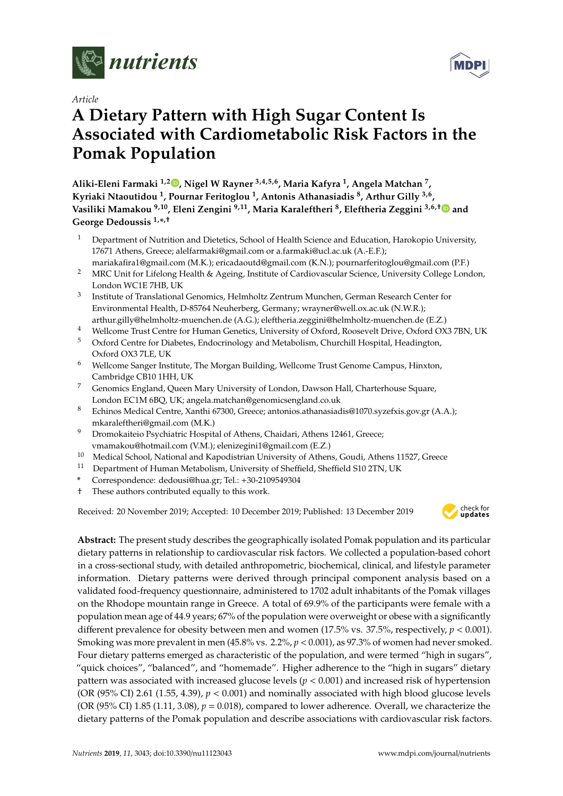

*Article*

# **A Dietary Pattern with High Sugar Content Is Associated with Cardiometabolic Risk Factors in the Pomak Population**

**Aliki-Eleni Farmaki 1,2 [,](https://orcid.org/0000-0003-3379-0793) Nigel W Rayner 3,4,5,6, Maria Kafyra <sup>1</sup> , Angela Matchan <sup>7</sup> , Kyriaki Ntaoutidou <sup>1</sup> , Pournar Feritoglou <sup>1</sup> , Antonis Athanasiadis <sup>8</sup> , Arthur Gilly 3,6 , Vasiliki Mamakou 9,10, Eleni Zengini 9,11, Maria Karaleftheri <sup>8</sup> , Eleftheria Zeggini 3,6,**[†](https://orcid.org/0000-0003-4238-659X) **and George Dedoussis 1,\* ,**†

- <sup>1</sup> Department of Nutrition and Dietetics, School of Health Science and Education, Harokopio University, 17671 Athens, Greece; alelfarmaki@gmail.com or a.farmaki@ucl.ac.uk (A.-E.F.);
- mariakafira1@gmail.com (M.K.); ericadaoutd@gmail.com (K.N.); pournarferitoglou@gmail.com (P.F.) <sup>2</sup> MRC Unit for Lifelong Health & Ageing, Institute of Cardiovascular Science, University College London, London WC1E 7HB, UK
- 3 Institute of Translational Genomics, Helmholtz Zentrum Munchen, German Research Center for Environmental Health, D-85764 Neuherberg, Germany; wrayner@well.ox.ac.uk (N.W.R.); arthur.gilly@helmholtz-muenchen.de (A.G.); eleftheria.zeggini@helmholtz-muenchen.de (E.Z.)
- <sup>4</sup> Wellcome Trust Centre for Human Genetics, University of Oxford, Roosevelt Drive, Oxford OX3 7BN, UK
- <sup>5</sup> Oxford Centre for Diabetes, Endocrinology and Metabolism, Churchill Hospital, Headington, Oxford OX3 7LE, UK
- <sup>6</sup> Wellcome Sanger Institute, The Morgan Building, Wellcome Trust Genome Campus, Hinxton, Cambridge CB10 1HH, UK
- <sup>7</sup> Genomics England, Queen Mary University of London, Dawson Hall, Charterhouse Square, London EC1M 6BQ, UK; angela.matchan@genomicsengland.co.uk
- <sup>8</sup> Echinos Medical Centre, Xanthi 67300, Greece; antonios.athanasiadis@1070.syzefxis.gov.gr (A.A.); mkaraleftheri@gmail.com (M.K.)
- <sup>9</sup> Dromokaiteio Psychiatric Hospital of Athens, Chaidari, Athens 12461, Greece; vmamakou@hotmail.com (V.M.); elenizegini1@gmail.com (E.Z.)
- <sup>10</sup> Medical School, National and Kapodistrian University of Athens, Goudi, Athens 11527, Greece<br><sup>11</sup> Denartment of Human Metabolism University of Sheffield Sheffield S10.2TN UK
- <sup>11</sup> Department of Human Metabolism, University of Sheffield, Sheffield S10 2TN, UK
- **\*** Correspondence: dedousi@hua.gr; Tel.: +30-2109549304
- † These authors contributed equally to this work.

Received: 20 November 2019; Accepted: 10 December 2019; Published: 13 December 2019 -



**Abstract:** The present study describes the geographically isolated Pomak population and its particular dietary patterns in relationship to cardiovascular risk factors. We collected a population-based cohort in a cross-sectional study, with detailed anthropometric, biochemical, clinical, and lifestyle parameter information. Dietary patterns were derived through principal component analysis based on a validated food-frequency questionnaire, administered to 1702 adult inhabitants of the Pomak villages on the Rhodope mountain range in Greece. A total of 69.9% of the participants were female with a population mean age of 44.9 years; 67% of the population were overweight or obese with a significantly different prevalence for obesity between men and women (17.5% vs. 37.5%, respectively, *p* < 0.001). Smoking was more prevalent in men (45.8% vs. 2.2%, *p* < 0.001), as 97.3% of women had never smoked. Four dietary patterns emerged as characteristic of the population, and were termed "high in sugars", "quick choices", "balanced", and "homemade". Higher adherence to the "high in sugars" dietary pattern was associated with increased glucose levels ( $p < 0.001$ ) and increased risk of hypertension (OR (95% CI) 2.61 (1.55, 4.39),  $p < 0.001$ ) and nominally associated with high blood glucose levels (OR (95% CI) 1.85 (1.11, 3.08),  $p = 0.018$ ), compared to lower adherence. Overall, we characterize the dietary patterns of the Pomak population and describe associations with cardiovascular risk factors.

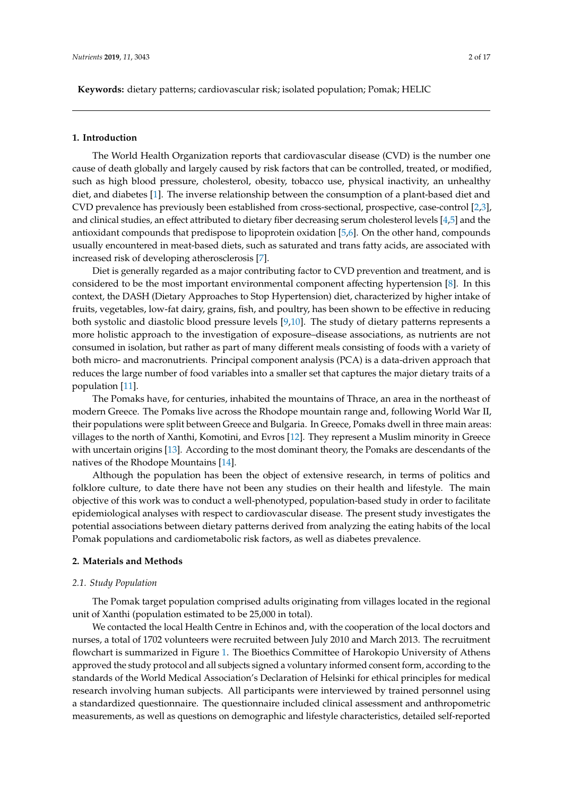**Keywords:** dietary patterns; cardiovascular risk; isolated population; Pomak; HELIC

#### **1. Introduction**

The World Health Organization reports that cardiovascular disease (CVD) is the number one cause of death globally and largely caused by risk factors that can be controlled, treated, or modified, such as high blood pressure, cholesterol, obesity, tobacco use, physical inactivity, an unhealthy diet, and diabetes [\[1\]](#page-13-0). The inverse relationship between the consumption of a plant-based diet and CVD prevalence has previously been established from cross-sectional, prospective, case-control [\[2](#page-13-1)[,3\]](#page-13-2), and clinical studies, an effect attributed to dietary fiber decreasing serum cholesterol levels [\[4,](#page-14-0)[5\]](#page-14-1) and the antioxidant compounds that predispose to lipoprotein oxidation [\[5,](#page-14-1)[6\]](#page-14-2). On the other hand, compounds usually encountered in meat-based diets, such as saturated and trans fatty acids, are associated with increased risk of developing atherosclerosis [\[7\]](#page-14-3).

Diet is generally regarded as a major contributing factor to CVD prevention and treatment, and is considered to be the most important environmental component affecting hypertension [\[8\]](#page-14-4). In this context, the DASH (Dietary Approaches to Stop Hypertension) diet, characterized by higher intake of fruits, vegetables, low-fat dairy, grains, fish, and poultry, has been shown to be effective in reducing both systolic and diastolic blood pressure levels [\[9,](#page-14-5)[10\]](#page-14-6). The study of dietary patterns represents a more holistic approach to the investigation of exposure–disease associations, as nutrients are not consumed in isolation, but rather as part of many different meals consisting of foods with a variety of both micro- and macronutrients. Principal component analysis (PCA) is a data-driven approach that reduces the large number of food variables into a smaller set that captures the major dietary traits of a population [\[11\]](#page-14-7).

The Pomaks have, for centuries, inhabited the mountains of Thrace, an area in the northeast of modern Greece. The Pomaks live across the Rhodope mountain range and, following World War II, their populations were split between Greece and Bulgaria. In Greece, Pomaks dwell in three main areas: villages to the north of Xanthi, Komotini, and Evros [\[12\]](#page-14-8). They represent a Muslim minority in Greece with uncertain origins [\[13\]](#page-14-9). According to the most dominant theory, the Pomaks are descendants of the natives of the Rhodope Mountains [\[14\]](#page-14-10).

Although the population has been the object of extensive research, in terms of politics and folklore culture, to date there have not been any studies on their health and lifestyle. The main objective of this work was to conduct a well-phenotyped, population-based study in order to facilitate epidemiological analyses with respect to cardiovascular disease. The present study investigates the potential associations between dietary patterns derived from analyzing the eating habits of the local Pomak populations and cardiometabolic risk factors, as well as diabetes prevalence.

#### **2. Materials and Methods**

## *2.1. Study Population*

The Pomak target population comprised adults originating from villages located in the regional unit of Xanthi (population estimated to be 25,000 in total).

We contacted the local Health Centre in Echinos and, with the cooperation of the local doctors and nurses, a total of 1702 volunteers were recruited between July 2010 and March 2013. The recruitment flowchart is summarized in Figure [1.](#page-2-0) The Bioethics Committee of Harokopio University of Athens approved the study protocol and all subjects signed a voluntary informed consent form, according to the standards of the World Medical Association's Declaration of Helsinki for ethical principles for medical research involving human subjects. All participants were interviewed by trained personnel using a standardized questionnaire. The questionnaire included clinical assessment and anthropometric measurements, as well as questions on demographic and lifestyle characteristics, detailed self-reported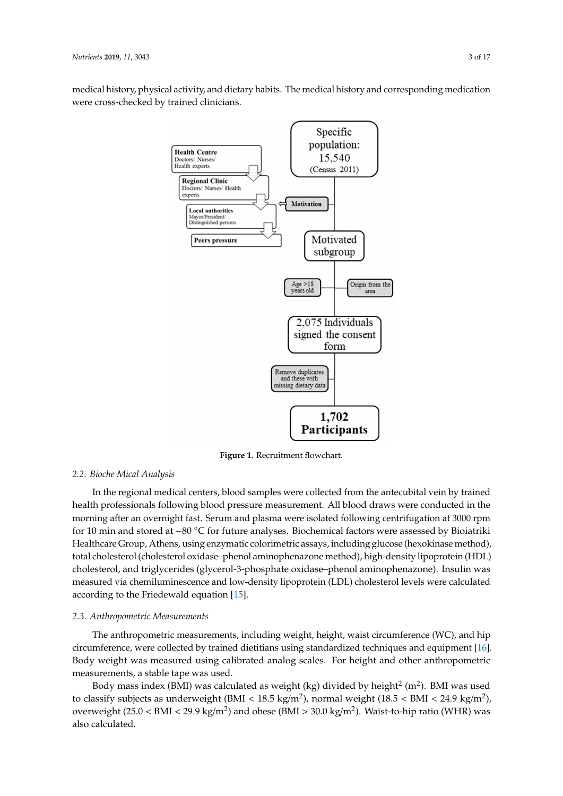<span id="page-2-0"></span>medical history, physical activity, and dietary habits. The medical history and corresponding medication were cross-checked by trained clinicians.



**Figure 1.** Recruitment flowchart. **Figure 1.** Recruitment flowchart.

# *2.2. Bioche mical Analysis 2.2. Bioche Mical Analysis*

In the regional medical centers, blood samples were collected from the antecubital vein by In the regional medical centers, blood samples were collected from the antecubital vein by trained health professionals following blood pressure measurement. All blood draws were conducted in the morning after an overnight fast. Serum and plasma were isolated following centrifugation at 3000 rpm for 10 min and stored at −80 ℃ for future analyses. Biochemical factors were assessed by Bioiatriki Healthcare Group, Athens, using enzymatic colorimetric assays, including glucose (hexokinase method), total cholesterol (cholesterol oxidase–phenol aminophenazone method), high-density lipoprotein (HDL) cholesterol, and triglycerides (glycerol-3-phosphate oxidase-phenol aminophenazone). Insulin was phosphate oxidase–phenol aminophenazone). Insulin was measured via chemical chemical legacy and  $\frac{1}{2}$ measured via chemiluminescence and low-density lipoprotein (LDL) cholesterol levels were calculated<br> according to the Friedewald equation [\[15\]](#page-14-11).

# *2.3. Anthropometric Measurements 2.3. Anthropometric Measurements*

The anthropometric measurements, including weight, height, waist circumference (WC), and The anthropometric measurements, including weight, height, waist circumference (WC), and hip hip circumference, were collected by trained dietitians using standardized techniques and equipment circumference, were collected by trained dietitians using standardized techniques and equipment [\[16\]](#page-14-12). Body weight was measured using calibrated analog scales. For height and other anthropometric measurements, a stable tape was used.

Body mass index (BMI) was calculated as weight (kg) divided by height $^2$  (m $^2$ ). BMI was used to classify subjects as underweight (BMI < 18.5 kg/m<sup>2</sup>), normal weight (18.5 < BMI < 24.9 kg/m<sup>2</sup>), overweight (25.0 < BMI < 29.9 kg/m<sup>2</sup>) and obese (BMI > 30.0 kg/m<sup>2</sup>). Waist-to-hip ratio (WHR) was also calculated.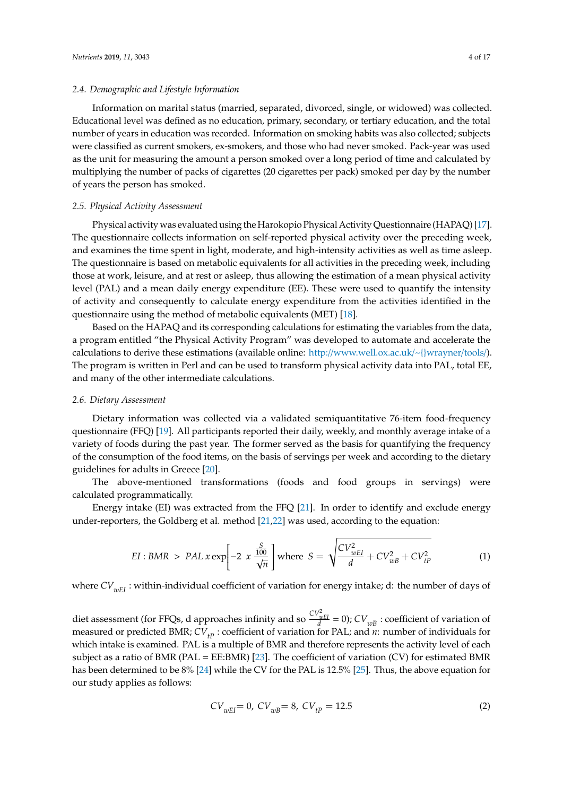#### *2.4. Demographic and Lifestyle Information*

Information on marital status (married, separated, divorced, single, or widowed) was collected. Educational level was defined as no education, primary, secondary, or tertiary education, and the total number of years in education was recorded. Information on smoking habits was also collected; subjects were classified as current smokers, ex-smokers, and those who had never smoked. Pack-year was used as the unit for measuring the amount a person smoked over a long period of time and calculated by multiplying the number of packs of cigarettes (20 cigarettes per pack) smoked per day by the number of years the person has smoked.

## *2.5. Physical Activity Assessment*

Physical activity was evaluated using the Harokopio Physical Activity Questionnaire (HAPAQ) [\[17\]](#page-14-13). The questionnaire collects information on self-reported physical activity over the preceding week, and examines the time spent in light, moderate, and high-intensity activities as well as time asleep. The questionnaire is based on metabolic equivalents for all activities in the preceding week, including those at work, leisure, and at rest or asleep, thus allowing the estimation of a mean physical activity level (PAL) and a mean daily energy expenditure (EE). These were used to quantify the intensity of activity and consequently to calculate energy expenditure from the activities identified in the questionnaire using the method of metabolic equivalents (MET) [\[18\]](#page-14-14).

Based on the HAPAQ and its corresponding calculations for estimating the variables from the data, a program entitled "the Physical Activity Program" was developed to automate and accelerate the calculations to derive these estimations (available online: http://[www.well.ox.ac.uk](http://www.well.ox.ac.uk/~{}wrayner/tools/)/~{}wrayner/tools/). The program is written in Perl and can be used to transform physical activity data into PAL, total EE, and many of the other intermediate calculations.

# *2.6. Dietary Assessment*

Dietary information was collected via a validated semiquantitative 76-item food-frequency questionnaire (FFQ) [\[19\]](#page-14-15). All participants reported their daily, weekly, and monthly average intake of a variety of foods during the past year. The former served as the basis for quantifying the frequency of the consumption of the food items, on the basis of servings per week and according to the dietary guidelines for adults in Greece [\[20\]](#page-14-16).

The above-mentioned transformations (foods and food groups in servings) were calculated programmatically.

Energy intake (EI) was extracted from the FFQ [\[21\]](#page-14-17). In order to identify and exclude energy under-reporters, the Goldberg et al. method [\[21,](#page-14-17)[22\]](#page-14-18) was used, according to the equation:

$$
EI: BMR > PAL \, x \exp\left[-2 \, x \, \frac{\frac{S}{100}}{\sqrt{n}}\right] \text{where} \quad S = \sqrt{\frac{CV_{wEI}^2}{d} + CV_{wB}^2 + CV_{tP}^2} \tag{1}
$$

where *CV*<sub>*wEI*</sub> : within-individual coefficient of variation for energy intake; d: the number of days of

diet assessment (for FFQs, d approaches infinity and so  $\frac{CV_{wEI}^2}{d} = 0$ );  $CV_{wB}$  : coefficient of variation of measured or predicted BMR;  $CV_{tp}$ : coefficient of variation for PAL; and  $n$ : number of individuals for which intake is examined. PAL is a multiple of BMR and therefore represents the activity level of each subject as a ratio of BMR (PAL = EE:BMR) [\[23\]](#page-14-19). The coefficient of variation (CV) for estimated BMR has been determined to be 8% [\[24\]](#page-15-0) while the CV for the PAL is 12.5% [\[25\]](#page-15-1). Thus, the above equation for our study applies as follows:

$$
CV_{wEI} = 0, CV_{wB} = 8, CV_{tP} = 12.5
$$
 (2)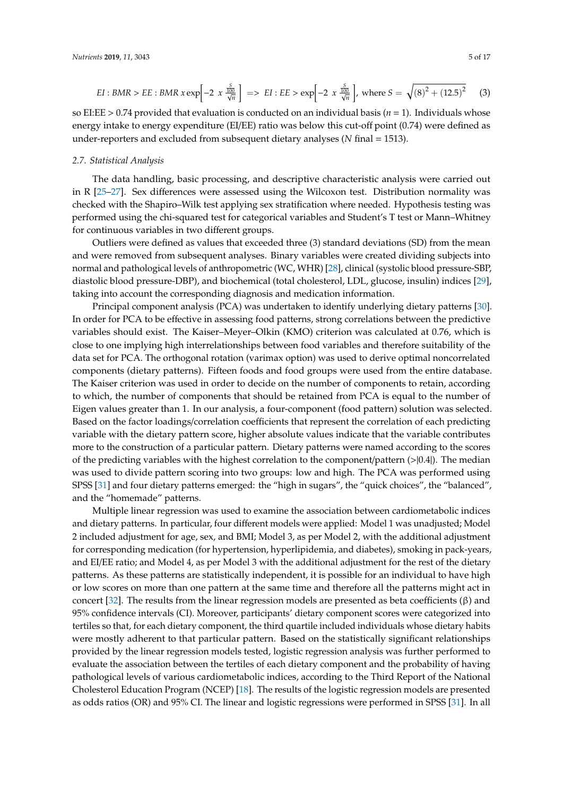$$
EI: BMR > EE: BMR \ x \exp\left[-2 \ x \ \frac{\frac{S}{100}}{\sqrt{n}}\right] \implies EI: EE > \exp\left[-2 \ x \ \frac{\frac{S}{100}}{\sqrt{n}}\right], \text{ where } S = \sqrt{(8)^2 + (12.5)^2} \tag{3}
$$

so EI:EE > 0.74 provided that evaluation is conducted on an individual basis (*n* = 1). Individuals whose energy intake to energy expenditure (EI/EE) ratio was below this cut-off point (0.74) were defined as under-reporters and excluded from subsequent dietary analyses (*N* final = 1513).

#### *2.7. Statistical Analysis*

The data handling, basic processing, and descriptive characteristic analysis were carried out in R [\[25](#page-15-1)[–27\]](#page-15-2). Sex differences were assessed using the Wilcoxon test. Distribution normality was checked with the Shapiro–Wilk test applying sex stratification where needed. Hypothesis testing was performed using the chi-squared test for categorical variables and Student's T test or Mann–Whitney for continuous variables in two different groups.

Outliers were defined as values that exceeded three (3) standard deviations (SD) from the mean and were removed from subsequent analyses. Binary variables were created dividing subjects into normal and pathological levels of anthropometric (WC, WHR) [\[28\]](#page-15-3), clinical (systolic blood pressure-SBP, diastolic blood pressure-DBP), and biochemical (total cholesterol, LDL, glucose, insulin) indices [\[29\]](#page-15-4), taking into account the corresponding diagnosis and medication information.

Principal component analysis (PCA) was undertaken to identify underlying dietary patterns [\[30\]](#page-15-5). In order for PCA to be effective in assessing food patterns, strong correlations between the predictive variables should exist. The Kaiser–Meyer–Olkin (KMO) criterion was calculated at 0.76, which is close to one implying high interrelationships between food variables and therefore suitability of the data set for PCA. The orthogonal rotation (varimax option) was used to derive optimal noncorrelated components (dietary patterns). Fifteen foods and food groups were used from the entire database. The Kaiser criterion was used in order to decide on the number of components to retain, according to which, the number of components that should be retained from PCA is equal to the number of Eigen values greater than 1. In our analysis, a four-component (food pattern) solution was selected. Based on the factor loadings/correlation coefficients that represent the correlation of each predicting variable with the dietary pattern score, higher absolute values indicate that the variable contributes more to the construction of a particular pattern. Dietary patterns were named according to the scores of the predicting variables with the highest correlation to the component/pattern  $(> |0.4|)$ . The median was used to divide pattern scoring into two groups: low and high. The PCA was performed using SPSS [\[31\]](#page-15-6) and four dietary patterns emerged: the "high in sugars", the "quick choices", the "balanced", and the "homemade" patterns.

Multiple linear regression was used to examine the association between cardiometabolic indices and dietary patterns. In particular, four different models were applied: Model 1 was unadjusted; Model 2 included adjustment for age, sex, and BMI; Model 3, as per Model 2, with the additional adjustment for corresponding medication (for hypertension, hyperlipidemia, and diabetes), smoking in pack-years, and EI/EE ratio; and Model 4, as per Model 3 with the additional adjustment for the rest of the dietary patterns. As these patterns are statistically independent, it is possible for an individual to have high or low scores on more than one pattern at the same time and therefore all the patterns might act in concert [\[32\]](#page-15-7). The results from the linear regression models are presented as beta coefficients (β) and 95% confidence intervals (CI). Moreover, participants' dietary component scores were categorized into tertiles so that, for each dietary component, the third quartile included individuals whose dietary habits were mostly adherent to that particular pattern. Based on the statistically significant relationships provided by the linear regression models tested, logistic regression analysis was further performed to evaluate the association between the tertiles of each dietary component and the probability of having pathological levels of various cardiometabolic indices, according to the Third Report of the National Cholesterol Education Program (NCEP) [\[18\]](#page-14-14). The results of the logistic regression models are presented as odds ratios (OR) and 95% CI. The linear and logistic regressions were performed in SPSS [\[31\]](#page-15-6). In all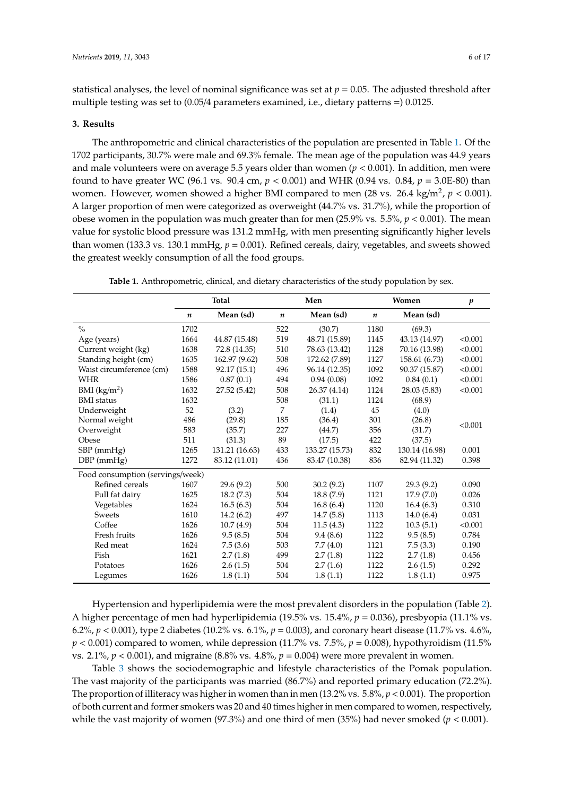statistical analyses, the level of nominal significance was set at  $p = 0.05$ . The adjusted threshold after multiple testing was set to (0.05/4 parameters examined, i.e., dietary patterns =) 0.0125.

## **3. Results**

The anthropometric and clinical characteristics of the population are presented in Table [1.](#page-5-0) Of the 1702 participants, 30.7% were male and 69.3% female. The mean age of the population was 44.9 years and male volunteers were on average 5.5 years older than women  $(p < 0.001)$ . In addition, men were found to have greater WC (96.1 vs. 90.4 cm, *p* < 0.001) and WHR (0.94 vs. 0.84, *p* = 3.0E-80) than women. However, women showed a higher BMI compared to men (28 vs. 26.4 kg/m<sup>2</sup>,  $p < 0.001$ ). A larger proportion of men were categorized as overweight (44.7% vs. 31.7%), while the proportion of obese women in the population was much greater than for men (25.9% vs. 5.5%, *p* < 0.001). The mean value for systolic blood pressure was 131.2 mmHg, with men presenting significantly higher levels than women (133.3 vs. 130.1 mmHg, *p* = 0.001). Refined cereals, dairy, vegetables, and sweets showed the greatest weekly consumption of all the food groups.

<span id="page-5-0"></span>

|                                  |                  | <b>Total</b>   |                  | Men            |                  | Women          | $\boldsymbol{p}$ |
|----------------------------------|------------------|----------------|------------------|----------------|------------------|----------------|------------------|
|                                  | $\boldsymbol{n}$ | Mean (sd)      | $\boldsymbol{n}$ | Mean (sd)      | $\boldsymbol{n}$ | Mean (sd)      |                  |
| $\frac{0}{0}$                    | 1702             |                | 522              | (30.7)         | 1180             | (69.3)         |                  |
| Age (years)                      | 1664             | 44.87 (15.48)  | 519              | 48.71 (15.89)  | 1145             | 43.13 (14.97)  | < 0.001          |
| Current weight (kg)              | 1638             | 72.8 (14.35)   | 510              | 78.63 (13.42)  | 1128             | 70.16 (13.98)  | < 0.001          |
| Standing height (cm)             | 1635             | 162.97 (9.62)  | 508              | 172.62 (7.89)  | 1127             | 158.61 (6.73)  | < 0.001          |
| Waist circumference (cm)         | 1588             | 92.17 (15.1)   | 496              | 96.14 (12.35)  | 1092             | 90.37 (15.87)  | < 0.001          |
| <b>WHR</b>                       | 1586             | 0.87(0.1)      | 494              | 0.94(0.08)     | 1092             | 0.84(0.1)      | < 0.001          |
| BMI $(kg/m2)$                    | 1632             | 27.52 (5.42)   | 508              | 26.37 (4.14)   | 1124             | 28.03 (5.83)   | < 0.001          |
| <b>BMI</b> status                | 1632             |                | 508              | (31.1)         | 1124             | (68.9)         |                  |
| Underweight                      | 52               | (3.2)          | 7                | (1.4)          | 45               | (4.0)          |                  |
| Normal weight                    | 486              | (29.8)         | 185              | (36.4)         | 301              | (26.8)         | < 0.001          |
| Overweight                       | 583              | (35.7)         | 227              | (44.7)         | 356              | (31.7)         |                  |
| Obese                            | 511              | (31.3)         | 89               | (17.5)         | 422              | (37.5)         |                  |
| $SBP$ (mm $Hg$ )                 | 1265             | 131.21 (16.63) | 433              | 133.27 (15.73) | 832              | 130.14 (16.98) | 0.001            |
| $DBP$ (mmHg)                     | 1272             | 83.12 (11.01)  | 436              | 83.47 (10.38)  | 836              | 82.94 (11.32)  | 0.398            |
| Food consumption (servings/week) |                  |                |                  |                |                  |                |                  |
| Refined cereals                  | 1607             | 29.6(9.2)      | 500              | 30.2(9.2)      | 1107             | 29.3(9.2)      | 0.090            |
| Full fat dairy                   | 1625             | 18.2(7.3)      | 504              | 18.8 (7.9)     | 1121             | 17.9(7.0)      | 0.026            |
| Vegetables                       | 1624             | 16.5(6.3)      | 504              | 16.8(6.4)      | 1120             | 16.4(6.3)      | 0.310            |
| Sweets                           | 1610             | 14.2(6.2)      | 497              | 14.7(5.8)      | 1113             | 14.0(6.4)      | 0.031            |
| Coffee                           | 1626             | 10.7(4.9)      | 504              | 11.5(4.3)      | 1122             | 10.3(5.1)      | < 0.001          |
| Fresh fruits                     | 1626             | 9.5(8.5)       | 504              | 9.4(8.6)       | 1122             | 9.5(8.5)       | 0.784            |
| Red meat                         | 1624             | 7.5(3.6)       | 503              | 7.7(4.0)       | 1121             | 7.5(3.3)       | 0.190            |
| Fish                             | 1621             | 2.7(1.8)       | 499              | 2.7(1.8)       | 1122             | 2.7(1.8)       | 0.456            |
| Potatoes                         | 1626             | 2.6(1.5)       | 504              | 2.7(1.6)       | 1122             | 2.6(1.5)       | 0.292            |
| Legumes                          | 1626             | 1.8(1.1)       | 504              | 1.8(1.1)       | 1122             | 1.8(1.1)       | 0.975            |

**Table 1.** Anthropometric, clinical, and dietary characteristics of the study population by sex.

Hypertension and hyperlipidemia were the most prevalent disorders in the population (Table [2\)](#page-6-0). A higher percentage of men had hyperlipidemia (19.5% vs. 15.4%, *p* = 0.036), presbyopia (11.1% vs. 6.2%, *p* < 0.001), type 2 diabetes (10.2% vs. 6.1%, *p* = 0.003), and coronary heart disease (11.7% vs. 4.6%,  $p < 0.001$ ) compared to women, while depression (11.7% vs. 7.5%,  $p = 0.008$ ), hypothyroidism (11.5%) vs.  $2.1\%$ ,  $p < 0.001$ ), and migraine (8.8% vs.  $4.8\%$ ,  $p = 0.004$ ) were more prevalent in women.

Table [3](#page-6-1) shows the sociodemographic and lifestyle characteristics of the Pomak population. The vast majority of the participants was married (86.7%) and reported primary education (72.2%). The proportion of illiteracy was higher in women than in men (13.2% vs. 5.8%, *p* < 0.001). The proportion of both current and former smokers was 20 and 40 times higher in men compared to women, respectively, while the vast majority of women (97.3%) and one third of men (35%) had never smoked (*p* < 0.001).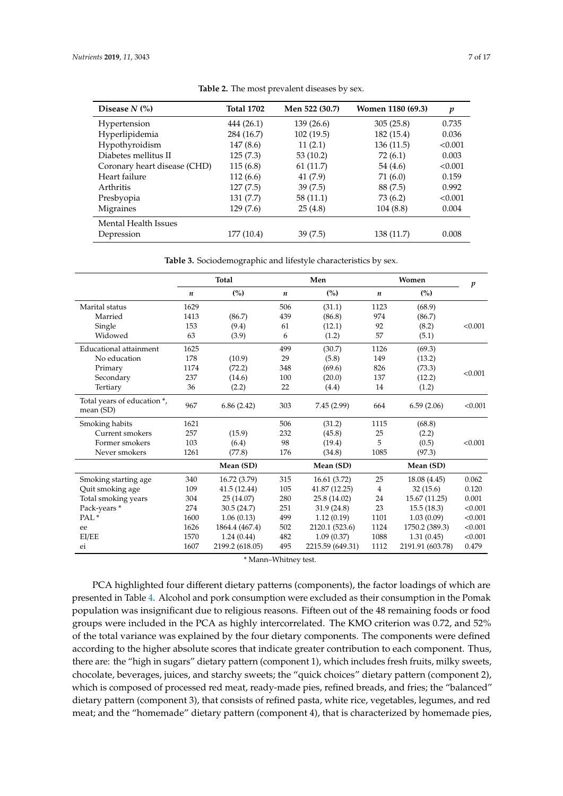<span id="page-6-0"></span>

| Disease $N$ $\left(\% \right)$ | <b>Total 1702</b> | Men 522 (30.7) | Women 1180 (69.3) | $\boldsymbol{p}$ |
|--------------------------------|-------------------|----------------|-------------------|------------------|
| Hypertension                   | 444 (26.1)        | 139(26.6)      | 305(25.8)         | 0.735            |
| Hyperlipidemia                 | 284 (16.7)        | 102(19.5)      | 182 (15.4)        | 0.036            |
| Hypothyroidism                 | 147(8.6)          | 11(2.1)        | 136(11.5)         | < 0.001          |
| Diabetes mellitus II           | 125(7.3)          | 53 (10.2)      | 72 (6.1)          | 0.003            |
| Coronary heart disease (CHD)   | 115(6.8)          | 61 (11.7)      | 54 (4.6)          | < 0.001          |
| Heart failure                  | 112(6.6)          | 41 (7.9)       | 71 (6.0)          | 0.159            |
| Arthritis                      | 127(7.5)          | 39(7.5)        | 88 (7.5)          | 0.992            |
| Presbyopia                     | 131(7.7)          | 58 (11.1)      | 73 (6.2)          | < 0.001          |
| Migraines                      | 129(7.6)          | 25(4.8)        | 104(8.8)          | 0.004            |
| <b>Mental Health Issues</b>    |                   |                |                   |                  |
| Depression                     | 177 (10.4)        | 39(7.5)        | 138 (11.7)        | 0.008            |

**Table 2.** The most prevalent diseases by sex.

**Table 3.** Sociodemographic and lifestyle characteristics by sex.

<span id="page-6-1"></span>

|                                            |      | Total           |     | Men              |                | Women            | p       |
|--------------------------------------------|------|-----------------|-----|------------------|----------------|------------------|---------|
|                                            | n    | (%)             | n   | (%)              | n              | (%)              |         |
| Marital status                             | 1629 |                 | 506 | (31.1)           | 1123           | (68.9)           |         |
| Married                                    | 1413 | (86.7)          | 439 | (86.8)           | 974            | (86.7)           |         |
| Single                                     | 153  | (9.4)           | 61  | (12.1)           | 92             | (8.2)            | < 0.001 |
| Widowed                                    | 63   | (3.9)           | 6   | (1.2)            | 57             | (5.1)            |         |
| Educational attainment                     | 1625 |                 | 499 | (30.7)           | 1126           | (69.3)           |         |
| No education                               | 178  | (10.9)          | 29  | (5.8)            | 149            | (13.2)           |         |
| Primary                                    | 1174 | (72.2)          | 348 | (69.6)           | 826            | (73.3)           | < 0.001 |
| Secondary                                  | 237  | (14.6)          | 100 | (20.0)           | 137            | (12.2)           |         |
| Tertiary                                   | 36   | (2.2)           | 22  | (4.4)            | 14             | (1.2)            |         |
| Total years of education *,<br>mean $(SD)$ | 967  | 6.86(2.42)      | 303 | 7.45(2.99)       | 664            | 6.59(2.06)       | < 0.001 |
| Smoking habits                             | 1621 |                 | 506 | (31.2)           | 1115           | (68.8)           |         |
| Current smokers                            | 257  | (15.9)          | 232 | (45.8)           | 25             | (2.2)            |         |
| Former smokers                             | 103  | (6.4)           | 98  | (19.4)           | 5              | (0.5)            | < 0.001 |
| Never smokers                              | 1261 | (77.8)          | 176 | (34.8)           | 1085           | (97.3)           |         |
|                                            |      | Mean (SD)       |     | Mean (SD)        |                | Mean (SD)        |         |
| Smoking starting age                       | 340  | 16.72 (3.79)    | 315 | 16.61(3.72)      | 25             | 18.08 (4.45)     | 0.062   |
| Quit smoking age                           | 109  | 41.5(12.44)     | 105 | 41.87 (12.25)    | $\overline{4}$ | 32(15.6)         | 0.120   |
| Total smoking years                        | 304  | 25 (14.07)      | 280 | 25.8 (14.02)     | 24             | 15.67 (11.25)    | 0.001   |
| Pack-years*                                | 274  | 30.5(24.7)      | 251 | 31.9(24.8)       | 23             | 15.5(18.3)       | < 0.001 |
| PAL <sup>*</sup>                           | 1600 | 1.06(0.13)      | 499 | 1.12(0.19)       | 1101           | 1.03(0.09)       | < 0.001 |
| ee                                         | 1626 | 1864.4 (467.4)  | 502 | 2120.1 (523.6)   | 1124           | 1750.2 (389.3)   | < 0.001 |
| EI/EE                                      | 1570 | 1.24(0.44)      | 482 | 1.09(0.37)       | 1088           | 1.31(0.45)       | < 0.001 |
| ei                                         | 1607 | 2199.2 (618.05) | 495 | 2215.59 (649.31) | 1112           | 2191.91 (603.78) | 0.479   |

\* Mann–Whitney test.

PCA highlighted four different dietary patterns (components), the factor loadings of which are presented in Table [4.](#page-7-0) Alcohol and pork consumption were excluded as their consumption in the Pomak population was insignificant due to religious reasons. Fifteen out of the 48 remaining foods or food groups were included in the PCA as highly intercorrelated. The KMO criterion was 0.72, and 52% of the total variance was explained by the four dietary components. The components were defined according to the higher absolute scores that indicate greater contribution to each component. Thus, there are: the "high in sugars" dietary pattern (component 1), which includes fresh fruits, milky sweets, chocolate, beverages, juices, and starchy sweets; the "quick choices" dietary pattern (component 2), which is composed of processed red meat, ready-made pies, refined breads, and fries; the "balanced" dietary pattern (component 3), that consists of refined pasta, white rice, vegetables, legumes, and red meat; and the "homemade" dietary pattern (component 4), that is characterized by homemade pies,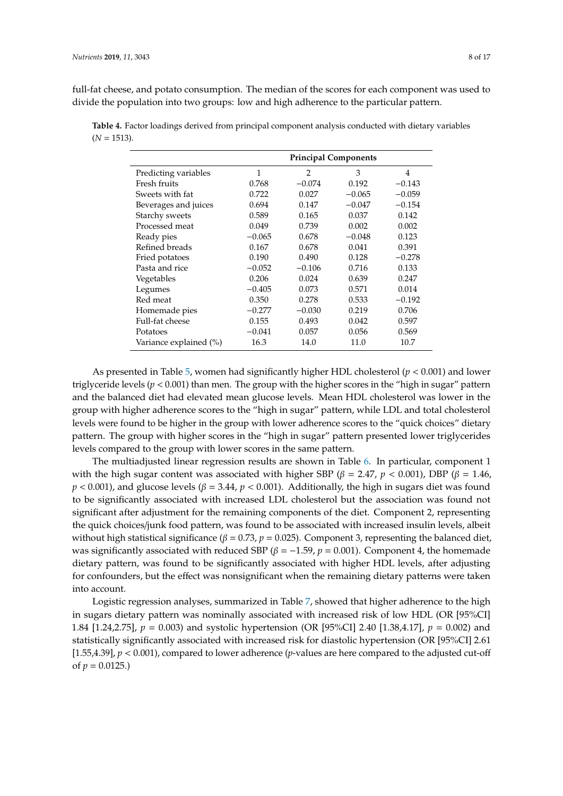full-fat cheese, and potato consumption. The median of the scores for each component was used to

divide the population into two groups: low and high adherence to the particular pattern.

<span id="page-7-0"></span>**Table 4.** Factor loadings derived from principal component analysis conducted with dietary variables  $(N = 1513)$ .

|                        |          |                | <b>Principal Components</b> |          |
|------------------------|----------|----------------|-----------------------------|----------|
| Predicting variables   | 1        | $\overline{2}$ | 3                           | 4        |
| Fresh fruits           | 0.768    | $-0.074$       | 0.192                       | $-0.143$ |
| Sweets with fat        | 0.722    | 0.027          | $-0.065$                    | $-0.059$ |
| Beverages and juices   | 0.694    | 0.147          | $-0.047$                    | $-0.154$ |
| Starchy sweets         | 0.589    | 0.165          | 0.037                       | 0.142    |
| Processed meat         | 0.049    | 0.739          | 0.002                       | 0.002    |
| Ready pies             | $-0.065$ | 0.678          | $-0.048$                    | 0.123    |
| Refined breads         | 0.167    | 0.678          | 0.041                       | 0.391    |
| Fried potatoes         | 0.190    | 0.490          | 0.128                       | $-0.278$ |
| Pasta and rice         | $-0.052$ | $-0.106$       | 0.716                       | 0.133    |
| Vegetables             | 0.206    | 0.024          | 0.639                       | 0.247    |
| Legumes                | $-0.405$ | 0.073          | 0.571                       | 0.014    |
| Red meat               | 0.350    | 0.278          | 0.533                       | $-0.192$ |
| Homemade pies          | $-0.277$ | $-0.030$       | 0.219                       | 0.706    |
| Full-fat cheese        | 0.155    | 0.493          | 0.042                       | 0.597    |
| Potatoes               | $-0.041$ | 0.057          | 0.056                       | 0.569    |
| Variance explained (%) | 16.3     | 14.0           | 11.0                        | 10.7     |

As presented in Table [5,](#page-8-0) women had significantly higher HDL cholesterol (*p* < 0.001) and lower triglyceride levels ( $p < 0.001$ ) than men. The group with the higher scores in the "high in sugar" pattern and the balanced diet had elevated mean glucose levels. Mean HDL cholesterol was lower in the group with higher adherence scores to the "high in sugar" pattern, while LDL and total cholesterol levels were found to be higher in the group with lower adherence scores to the "quick choices" dietary pattern. The group with higher scores in the "high in sugar" pattern presented lower triglycerides levels compared to the group with lower scores in the same pattern.

The multiadjusted linear regression results are shown in Table [6.](#page-9-0) In particular, component 1 with the high sugar content was associated with higher SBP ( $\beta = 2.47$ ,  $p < 0.001$ ), DBP ( $\beta = 1.46$ ,  $p$  < 0.001), and glucose levels ( $\beta$  = 3.44,  $p$  < 0.001). Additionally, the high in sugars diet was found to be significantly associated with increased LDL cholesterol but the association was found not significant after adjustment for the remaining components of the diet. Component 2, representing the quick choices/junk food pattern, was found to be associated with increased insulin levels, albeit without high statistical significance ( $\beta = 0.73$ ,  $p = 0.025$ ). Component 3, representing the balanced diet, was significantly associated with reduced SBP ( $\beta$  = -1.59,  $p$  = 0.001). Component 4, the homemade dietary pattern, was found to be significantly associated with higher HDL levels, after adjusting for confounders, but the effect was nonsignificant when the remaining dietary patterns were taken into account.

Logistic regression analyses, summarized in Table [7,](#page-10-0) showed that higher adherence to the high in sugars dietary pattern was nominally associated with increased risk of low HDL (OR [95%CI] 1.84 [1.24,2.75], *p* = 0.003) and systolic hypertension (OR [95%CI] 2.40 [1.38,4.17], *p* = 0.002) and statistically significantly associated with increased risk for diastolic hypertension (OR [95%CI] 2.61 [1.55,4.39], *p* < 0.001), compared to lower adherence (*p*-values are here compared to the adjusted cut-off of  $p = 0.0125$ .)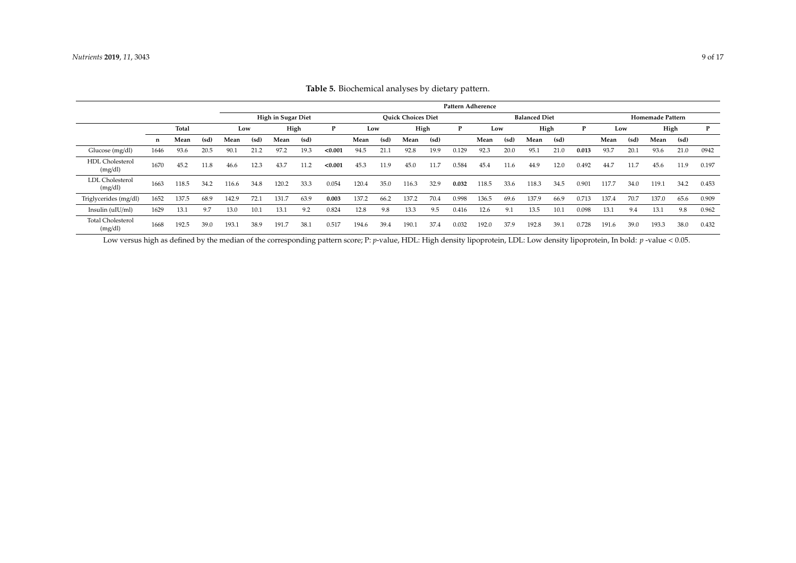|                                     |      |       |      |       | Pattern Adherence                                                       |       |      |         |       |      |       |      |       |       |      |                         |      |       |       |      |       |      |       |
|-------------------------------------|------|-------|------|-------|-------------------------------------------------------------------------|-------|------|---------|-------|------|-------|------|-------|-------|------|-------------------------|------|-------|-------|------|-------|------|-------|
|                                     |      |       |      |       | <b>Ouick Choices Diet</b><br>High in Sugar Diet<br><b>Balanced Diet</b> |       |      |         |       |      |       |      |       |       |      | <b>Homemade Pattern</b> |      |       |       |      |       |      |       |
|                                     |      | Total |      | Low   |                                                                         | High  |      | P       | Low   |      | High  |      | P     | Low   |      | High                    |      |       | Low   |      | High  |      | P     |
|                                     | n    | Mean  | (sd) | Mean  | (sd)                                                                    | Mean  | (sd) |         | Mean  | (sd) | Mean  | (sd) |       | Mean  | (sd) | Mean                    | (sd) |       | Mean  | (sd) | Mean  | (sd) |       |
| Glucose (mg/dl)                     | 1646 | 93.6  | 20.5 | 90.1  | 21.2                                                                    | 97.2  | 19.3 | < 0.001 | 94.5  | 21.1 | 92.8  | 19.9 | 0.129 | 92.3  | 20.0 | 95.1                    | 21.0 | 0.013 | 93.7  | 20.1 | 93.6  | 21.0 | 0942  |
| <b>HDL</b> Cholesterol<br>(mg/dl)   | 1670 | 45.2  | 11.8 | 46.6  | 12.3                                                                    | 43.7  |      | < 0.001 | 45.3  | 11.9 | 45.0  | 11.  | 0.584 | 45.4  | 11.6 | 44.9                    | 12.0 | 0.492 | 44.7  | 11.7 | 45.6  | 11.9 | 0.197 |
| <b>LDL</b> Cholesterol<br>(mg/dl)   | 1663 | 118.5 | 34.2 | 16.6  | 34.8                                                                    | 120.2 | 33.3 | 0.054   | 120.4 | 35.0 | 116.3 | 32.9 | 0.032 | 118.5 | 33.6 | 118.3                   | 34.5 | 0.901 | 117.7 | 34.0 | 119.1 | 34.2 | 0.453 |
| Triglycerides (mg/dl)               | 1652 | 137.5 | 68.9 | 142.9 | 72.1                                                                    | 131.7 | 63.9 | 0.003   | 137.2 | 66.2 | 137.2 | 70.4 | 0.998 | 136.5 | 69.6 | 137.9                   | 66.9 | 0.713 | 137.4 | 70.7 | 137.0 | 65.6 | 0.909 |
| Insulin (uIU/ml)                    | 1629 | 13.1  | 9.7  | 13.0  | 10.1                                                                    | 13.1  | 9.2  | 0.824   | 12.8  | 9.8  | 13.3  | 9.5  | 0.416 | 12.6  | 9.1  | 13.5                    | 10.1 | 0.098 | 13.1  | 9.4  | 13.1  | 9.8  | 0.962 |
| <b>Total Cholesterol</b><br>(mg/dl) | 1668 | 192.5 | 39.0 | 193.1 | 38.9                                                                    | 191.7 | 38.1 | 0.517   | 194.6 | 39.4 | 190.1 | 37.4 | 0.032 | 192.0 | 37.9 | 192.8                   | 39.1 | 0.728 | 191.6 | 39.0 | 193.3 | 38.0 | 0.432 |

| Table 5. Biochemical analyses by dietary pattern. |  |
|---------------------------------------------------|--|
|---------------------------------------------------|--|

<span id="page-8-0"></span>Low versus high as defined by the median of the corresponding pattern score; P: *p*-value, HDL: High density lipoprotein, LDL: Low density lipoprotein, In bold: *p*-value < 0.05.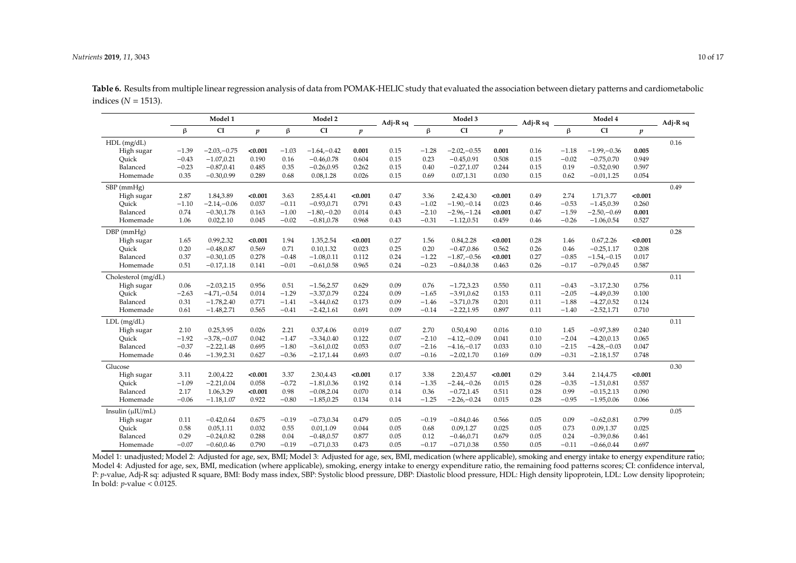|                        |         | Model 1       |                  |         | Model 2        |                  | $Adj-R sq$ |         | Model 3        |                  | Adj-R sq |         | Adj-R sq       |                  |      |
|------------------------|---------|---------------|------------------|---------|----------------|------------------|------------|---------|----------------|------------------|----------|---------|----------------|------------------|------|
|                        | $\beta$ | <b>CI</b>     | $\boldsymbol{p}$ | β       | CI             | $\boldsymbol{p}$ |            | $\beta$ | <b>CI</b>      | $\boldsymbol{p}$ |          | β       | CI             | $\boldsymbol{p}$ |      |
| $HDL$ (mg/dL)          |         |               |                  |         |                |                  |            |         |                |                  |          |         |                |                  | 0.16 |
| High sugar             | $-1.39$ | $-2.03,-0.75$ | < 0.001          | $-1.03$ | $-1.64,-0.42$  | 0.001            | 0.15       | $-1.28$ | $-2.02,-0.55$  | 0.001            | 0.16     | $-1.18$ | $-1.99 - 0.36$ | 0.005            |      |
| Quick                  | $-0.43$ | $-1.07, 0.21$ | 0.190            | 0.16    | $-0.46, 0.78$  | 0.604            | 0.15       | 0.23    | $-0.45, 0.91$  | 0.508            | 0.15     | $-0.02$ | $-0.75, 0.70$  | 0.949            |      |
| Balanced               | $-0.23$ | $-0.87, 0.41$ | 0.485            | 0.35    | $-0.26, 0.95$  | 0.262            | 0.15       | 0.40    | $-0.27,1.07$   | 0.244            | 0.15     | 0.19    | $-0.52, 0.90$  | 0.597            |      |
| Homemade               | 0.35    | $-0.30, 0.99$ | 0.289            | 0.68    | 0.08,1.28      | 0.026            | 0.15       | 0.69    | 0.07, 1.31     | 0.030            | 0.15     | 0.62    | $-0.01, 1.25$  | 0.054            |      |
| SBP (mmHg)             |         |               |                  |         |                |                  |            |         |                |                  |          |         |                |                  | 0.49 |
| High sugar             | 2.87    | 1.84,3.89     | < 0.001          | 3.63    | 2.85,4.41      | < 0.001          | 0.47       | 3.36    | 2.42,4.30      | < 0.001          | 0.49     | 2.74    | 1.71,3.77      | < 0.001          |      |
| Ouick                  | $-1.10$ | $-2.14,-0.06$ | 0.037            | $-0.11$ | $-0.93, 0.71$  | 0.791            | 0.43       | $-1.02$ | $-1.90 - 0.14$ | 0.023            | 0.46     | $-0.53$ | $-1.45, 0.39$  | 0.260            |      |
| Balanced               | 0.74    | $-0.30, 1.78$ | 0.163            | $-1.00$ | $-1.80 - 0.20$ | 0.014            | 0.43       | $-2.10$ | $-2.96 - 1.24$ | < 0.001          | 0.47     | $-1.59$ | $-2.50 - 0.69$ | 0.001            |      |
| Homemade               | 1.06    | 0.02, 2.10    | 0.045            | $-0.02$ | $-0.81, 0.78$  | 0.968            | 0.43       | $-0.31$ | $-1.12, 0.51$  | 0.459            | 0.46     | $-0.26$ | $-1.06, 0.54$  | 0.527            |      |
| $DBP$ (mmHg)           |         |               |                  |         |                |                  |            |         |                |                  |          |         |                |                  | 0.28 |
| High sugar             | 1.65    | 0.99,2.32     | < 0.001          | 1.94    | 1.35,2.54      | < 0.001          | 0.27       | 1.56    | 0.84,2.28      | < 0.001          | 0.28     | 1.46    | 0.67, 2.26     | < 0.001          |      |
| Ouick                  | 0.20    | $-0.48, 0.87$ | 0.569            | 0.71    | 0.10, 1.32     | 0.023            | 0.25       | 0.20    | $-0.47, 0.86$  | 0.562            | 0.26     | 0.46    | $-0.25, 1.17$  | 0.208            |      |
| Balanced               | 0.37    | $-0.30, 1.05$ | 0.278            | $-0.48$ | $-1.08, 0.11$  | 0.112            | 0.24       | $-1.22$ | $-1.87 - 0.56$ | < 0.001          | 0.27     | $-0.85$ | $-1.54,-0.15$  | 0.017            |      |
| Homemade               | 0.51    | $-0.17,1.18$  | 0.141            | $-0.01$ | $-0.61, 0.58$  | 0.965            | 0.24       | $-0.23$ | $-0.84, 0.38$  | 0.463            | 0.26     | $-0.17$ | $-0.79, 0.45$  | 0.587            |      |
| Cholesterol (mg/dL)    |         |               |                  |         |                |                  |            |         |                |                  |          |         |                |                  | 0.11 |
| High sugar             | 0.06    | $-2.03, 2.15$ | 0.956            | 0.51    | $-1.56, 2.57$  | 0.629            | 0.09       | 0.76    | $-1.72, 3.23$  | 0.550            | 0.11     | $-0.43$ | $-3.17,2.30$   | 0.756            |      |
| Ouick                  | $-2.63$ | $-4.71,-0.54$ | 0.014            | $-1.29$ | $-3.37,0.79$   | 0.224            | 0.09       | $-1.65$ | $-3.91, 0.62$  | 0.153            | 0.11     | $-2.05$ | $-4.49, 0.39$  | 0.100            |      |
| Balanced               | 0.31    | $-1.78,2.40$  | 0.771            | $-1.41$ | $-3.44, 0.62$  | 0.173            | 0.09       | $-1.46$ | $-3.71, 0.78$  | 0.201            | 0.11     | $-1.88$ | $-4.27,0.52$   | 0.124            |      |
| Homemade               | 0.61    | $-1.48, 2.71$ | 0.565            | $-0.41$ | $-2.42,1.61$   | 0.691            | 0.09       | $-0.14$ | $-2.22, 1.95$  | 0.897            | 0.11     | $-1.40$ | $-2.52, 1.71$  | 0.710            |      |
| $LDL$ (mg/dL)          |         |               |                  |         |                |                  |            |         |                |                  |          |         |                |                  | 0.11 |
| High sugar             | 2.10    | 0.25,3.95     | 0.026            | 2.21    | 0.37,4.06      | 0.019            | 0.07       | 2.70    | 0.50,4.90      | 0.016            | 0.10     | 1.45    | $-0.97,3.89$   | 0.240            |      |
| Ouick                  | $-1.92$ | $-3.78,-0.07$ | 0.042            | $-1.47$ | $-3.34, 0.40$  | 0.122            | 0.07       | $-2.10$ | $-4.12,-0.09$  | 0.041            | 0.10     | $-2.04$ | $-4.20, 0.13$  | 0.065            |      |
| Balanced               | $-0.37$ | $-2.22,1.48$  | 0.695            | $-1.80$ | $-3.61, 0.02$  | 0.053            | 0.07       | $-2.16$ | $-4.16 - 0.17$ | 0.033            | 0.10     | $-2.15$ | $-4.28 - 0.03$ | 0.047            |      |
| Homemade               | 0.46    | $-1.39, 2.31$ | 0.627            | $-0.36$ | $-2.17,1.44$   | 0.693            | 0.07       | $-0.16$ | $-2.02, 1.70$  | 0.169            | 0.09     | $-0.31$ | $-2.18, 1.57$  | 0.748            |      |
| Glucose                |         |               |                  |         |                |                  |            |         |                |                  |          |         |                |                  | 0.30 |
| High sugar             | 3.11    | 2.00,4.22     | < 0.001          | 3.37    | 2.30,4.43      | < 0.001          | 0.17       | 3.38    | 2.20,4.57      | < 0.001          | 0.29     | 3.44    | 2.14,4.75      | < 0.001          |      |
| Ouick                  | $-1.09$ | $-2.21, 0.04$ | 0.058            | $-0.72$ | $-1.81, 0.36$  | 0.192            | 0.14       | $-1.35$ | $-2.44,-0.26$  | 0.015            | 0.28     | $-0.35$ | $-1.51, 0.81$  | 0.557            |      |
| Balanced               | 2.17    | 1.06,3.29     | < 0.001          | 0.98    | $-0.08,2.04$   | 0.070            | 0.14       | 0.36    | $-0.72, 1.45$  | 0.511            | 0.28     | 0.99    | $-0.15, 2.13$  | 0.090            |      |
| Homemade               | $-0.06$ | $-1.18, 1.07$ | 0.922            | $-0.80$ | $-1.85, 0.25$  | 0.134            | 0.14       | $-1.25$ | $-2.26 - 0.24$ | 0.015            | 0.28     | $-0.95$ | $-1.95, 0.06$  | 0.066            |      |
| Insulin $(\mu I U/mL)$ |         |               |                  |         |                |                  |            |         |                |                  |          |         |                |                  | 0.05 |
| High sugar             | 0.11    | $-0.42, 0.64$ | 0.675            | $-0.19$ | $-0.73, 0.34$  | 0.479            | 0.05       | $-0.19$ | $-0.84, 0.46$  | 0.566            | 0.05     | 0.09    | $-0.62, 0.81$  | 0.799            |      |
| Quick                  | 0.58    | 0.05, 1.11    | 0.032            | 0.55    | 0.01,1.09      | 0.044            | 0.05       | 0.68    | 0.09,1.27      | 0.025            | 0.05     | 0.73    | 0.09,1.37      | 0.025            |      |
| Balanced               | 0.29    | $-0.24, 0.82$ | 0.288            | 0.04    | $-0.48, 0.57$  | 0.877            | 0.05       | 0.12    | $-0.46, 0.71$  | 0.679            | 0.05     | 0.24    | $-0.39, 0.86$  | 0.461            |      |
| Homemade               | $-0.07$ | $-0.60, 0.46$ | 0.790            | $-0.19$ | $-0.71, 0.33$  | 0.473            | 0.05       | $-0.17$ | $-0.71, 0.38$  | 0.550            | 0.05     | $-0.11$ | $-0.66, 0.44$  | 0.697            |      |

**Table 6.** Results from multiple linear regression analysis of data from POMAK-HELIC study that evaluated the association between dietary patterns and cardiometabolic indices ( $N = 1513$ ).

<span id="page-9-0"></span>Model 1: unadjusted; Model 2: Adjusted for age, sex, BMI; Model 3: Adjusted for age, sex, BMI, medication (where applicable), smoking and energy intake to energy expenditure ratio; Model 4: Adjusted for age, sex, BMI, medication (where applicable), smoking, energy intake to energy expenditure ratio, the remaining food patterns scores; CI: confidence interval, P: *p*-value, Adj-R sq: adjusted R square, BMI: Body mass index, SBP: Systolic blood pressure, DBP: Diastolic blood pressure, HDL: High density lipoprotein, LDL: Low density lipoprotein; In bold:  $p$ -value <  $0.0125$ .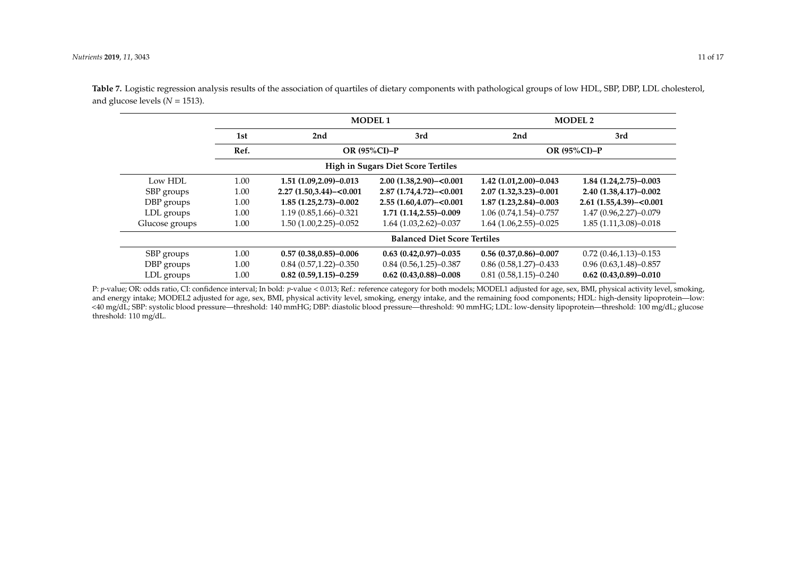|                |      |                            | <b>MODEL1</b>                             |                              | <b>MODEL 2</b>                |
|----------------|------|----------------------------|-------------------------------------------|------------------------------|-------------------------------|
|                | 1st  | 2nd                        | 2nd                                       | 3rd                          |                               |
|                | Ref. |                            | OR $(95\%CI)-P$                           |                              | OR $(95\%CI)-P$               |
|                |      |                            | <b>High in Sugars Diet Score Tertiles</b> |                              |                               |
| Low HDL        | 1.00 | 1.51 (1.09,2.09)-0.013     | $2.00(1.38,2.90) - 0.001$                 | $1.42(1.01, 2.00) - 0.043$   | $1.84(1.24.2.75)-0.003$       |
| SBP groups     | 1.00 | $2.27(1.50.3.44) - 0.001$  | $2.87(1.74.4.72)-<0.001$                  | $2.07(1.32,3.23)-0.001$      | 2.40 (1.38,4.17)-0.002        |
| DBP groups     | 1.00 | $1.85(1.25,2.73)-0.002$    | $2.55(1.60, 4.07) - 0.001$                | $1.87(1.23.2.84)-0.003$      | $2.61(1.55, 4.39) - 0.001$    |
| LDL groups     | 1.00 | $1.19(0.85, 1.66) - 0.321$ | $1.71(1.14.2.55)-0.009$                   | $1.06(0.74, 1.54) - 0.757$   | $1.47(0.96,2.27)-0.079$       |
| Glucose groups | 1.00 | 1.50 (1.00,2.25)-0.052     | $1.64(1.03, 2.62) - 0.037$                | $1.64(1.06, 2.55) - 0.025$   | $1.85(1.11,3.08)-0.018$       |
|                |      |                            | <b>Balanced Diet Score Tertiles</b>       |                              |                               |
| SBP groups     | 1.00 | $0.57(0.38, 0.85) - 0.006$ | $0.63(0.42, 0.97) - 0.035$                | $0.56(0.37, 0.86) - 0.007$   | $0.72(0.46, 1.13) - 0.153$    |
| DBP groups     | 1.00 | $0.84(0.57,1.22)-0.350$    | $0.84(0.56, 1.25) - 0.387$                | $0.86$ $(0.58, 1.27)$ -0.433 | $0.96(0.63, 1.48) - 0.857$    |
| LDL groups     | 1.00 | $0.82(0.59,1.15)-0.259$    | $0.62(0.43, 0.88) - 0.008$                | $0.81(0.58, 1.15) - 0.240$   | $0.62$ $(0.43, 0.89) - 0.010$ |

**Table 7.** Logistic regression analysis results of the association of quartiles of dietary components with pathological groups of low HDL, SBP, DBP, LDL cholesterol, and glucose levels  $(N = 1513)$ .

<span id="page-10-0"></span>P: *p*-value; OR: odds ratio, CI: confidence interval; In bold: *p*-value < 0.013; Ref.: reference category for both models; MODEL1 adjusted for age, sex, BMI, physical activity level, smoking, and energy intake; MODEL2 adjusted for age, sex, BMI, physical activity level, smoking, energy intake, and the remaining food components; HDL: high-density lipoprotein—low: <40 mg/dL; SBP: systolic blood pressure—threshold: 140 mmHG; DBP: diastolic blood pressure—threshold: 90 mmHG; LDL: low-density lipoprotein—threshold: 100 mg/dL; glucose threshold: 110 mg/dL.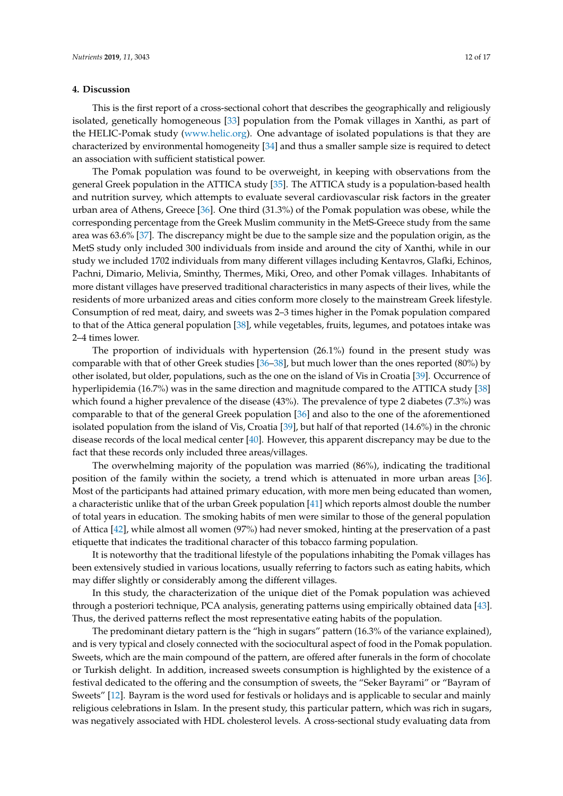## **4. Discussion**

This is the first report of a cross-sectional cohort that describes the geographically and religiously isolated, genetically homogeneous [\[33\]](#page-15-8) population from the Pomak villages in Xanthi, as part of the HELIC-Pomak study [\(www.helic.org\)](www.helic.org). One advantage of isolated populations is that they are characterized by environmental homogeneity [\[34\]](#page-15-9) and thus a smaller sample size is required to detect an association with sufficient statistical power.

The Pomak population was found to be overweight, in keeping with observations from the general Greek population in the ATTICA study [\[35\]](#page-15-10). The ATTICA study is a population-based health and nutrition survey, which attempts to evaluate several cardiovascular risk factors in the greater urban area of Athens, Greece [\[36\]](#page-15-11). One third (31.3%) of the Pomak population was obese, while the corresponding percentage from the Greek Muslim community in the MetS-Greece study from the same area was 63.6% [\[37\]](#page-15-12). The discrepancy might be due to the sample size and the population origin, as the MetS study only included 300 individuals from inside and around the city of Xanthi, while in our study we included 1702 individuals from many different villages including Kentavros, Glafki, Echinos, Pachni, Dimario, Melivia, Sminthy, Thermes, Miki, Oreo, and other Pomak villages. Inhabitants of more distant villages have preserved traditional characteristics in many aspects of their lives, while the residents of more urbanized areas and cities conform more closely to the mainstream Greek lifestyle. Consumption of red meat, dairy, and sweets was 2–3 times higher in the Pomak population compared to that of the Attica general population [\[38\]](#page-15-13), while vegetables, fruits, legumes, and potatoes intake was 2–4 times lower.

The proportion of individuals with hypertension (26.1%) found in the present study was comparable with that of other Greek studies [\[36–](#page-15-11)[38\]](#page-15-13), but much lower than the ones reported (80%) by other isolated, but older, populations, such as the one on the island of Vis in Croatia [\[39\]](#page-15-14). Occurrence of hyperlipidemia (16.7%) was in the same direction and magnitude compared to the ATTICA study [\[38\]](#page-15-13) which found a higher prevalence of the disease (43%). The prevalence of type 2 diabetes (7.3%) was comparable to that of the general Greek population [\[36\]](#page-15-11) and also to the one of the aforementioned isolated population from the island of Vis, Croatia [\[39\]](#page-15-14), but half of that reported (14.6%) in the chronic disease records of the local medical center [\[40\]](#page-15-15). However, this apparent discrepancy may be due to the fact that these records only included three areas/villages.

The overwhelming majority of the population was married (86%), indicating the traditional position of the family within the society, a trend which is attenuated in more urban areas [\[36\]](#page-15-11). Most of the participants had attained primary education, with more men being educated than women, a characteristic unlike that of the urban Greek population [\[41\]](#page-15-16) which reports almost double the number of total years in education. The smoking habits of men were similar to those of the general population of Attica [\[42\]](#page-15-17), while almost all women (97%) had never smoked, hinting at the preservation of a past etiquette that indicates the traditional character of this tobacco farming population.

It is noteworthy that the traditional lifestyle of the populations inhabiting the Pomak villages has been extensively studied in various locations, usually referring to factors such as eating habits, which may differ slightly or considerably among the different villages.

In this study, the characterization of the unique diet of the Pomak population was achieved through a posteriori technique, PCA analysis, generating patterns using empirically obtained data [\[43\]](#page-15-18). Thus, the derived patterns reflect the most representative eating habits of the population.

The predominant dietary pattern is the "high in sugars" pattern (16.3% of the variance explained), and is very typical and closely connected with the sociocultural aspect of food in the Pomak population. Sweets, which are the main compound of the pattern, are offered after funerals in the form of chocolate or Turkish delight. In addition, increased sweets consumption is highlighted by the existence of a festival dedicated to the offering and the consumption of sweets, the "Seker Bayrami" or "Bayram of Sweets" [\[12\]](#page-14-8). Bayram is the word used for festivals or holidays and is applicable to secular and mainly religious celebrations in Islam. In the present study, this particular pattern, which was rich in sugars, was negatively associated with HDL cholesterol levels. A cross-sectional study evaluating data from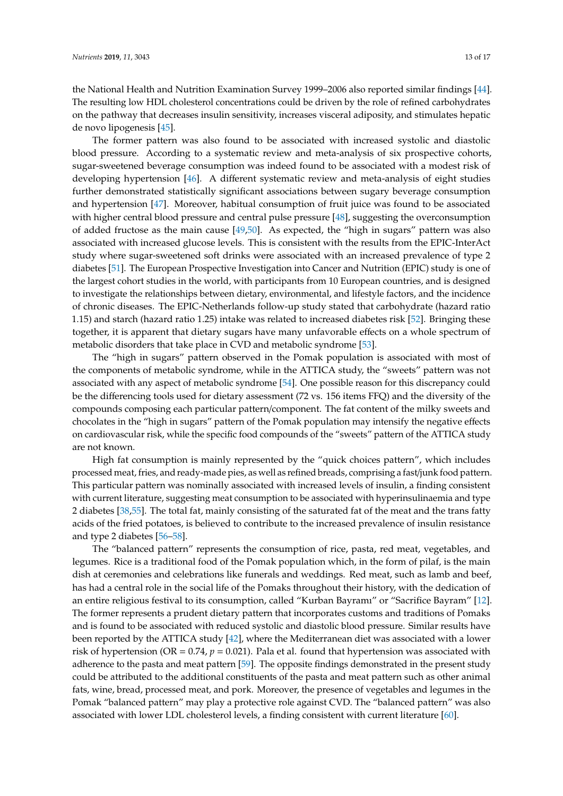the National Health and Nutrition Examination Survey 1999–2006 also reported similar findings [\[44\]](#page-16-0). The resulting low HDL cholesterol concentrations could be driven by the role of refined carbohydrates on the pathway that decreases insulin sensitivity, increases visceral adiposity, and stimulates hepatic de novo lipogenesis [\[45\]](#page-16-1).

The former pattern was also found to be associated with increased systolic and diastolic blood pressure. According to a systematic review and meta-analysis of six prospective cohorts, sugar-sweetened beverage consumption was indeed found to be associated with a modest risk of developing hypertension [\[46\]](#page-16-2). A different systematic review and meta-analysis of eight studies further demonstrated statistically significant associations between sugary beverage consumption and hypertension [\[47\]](#page-16-3). Moreover, habitual consumption of fruit juice was found to be associated with higher central blood pressure and central pulse pressure [\[48\]](#page-16-4), suggesting the overconsumption of added fructose as the main cause [\[49](#page-16-5)[,50\]](#page-16-6). As expected, the "high in sugars" pattern was also associated with increased glucose levels. This is consistent with the results from the EPIC-InterAct study where sugar-sweetened soft drinks were associated with an increased prevalence of type 2 diabetes [\[51\]](#page-16-7). The European Prospective Investigation into Cancer and Nutrition (EPIC) study is one of the largest cohort studies in the world, with participants from 10 European countries, and is designed to investigate the relationships between dietary, environmental, and lifestyle factors, and the incidence of chronic diseases. The EPIC-Netherlands follow-up study stated that carbohydrate (hazard ratio 1.15) and starch (hazard ratio 1.25) intake was related to increased diabetes risk [\[52\]](#page-16-8). Bringing these together, it is apparent that dietary sugars have many unfavorable effects on a whole spectrum of metabolic disorders that take place in CVD and metabolic syndrome [\[53\]](#page-16-9).

The "high in sugars" pattern observed in the Pomak population is associated with most of the components of metabolic syndrome, while in the ATTICA study, the "sweets" pattern was not associated with any aspect of metabolic syndrome [\[54\]](#page-16-10). One possible reason for this discrepancy could be the differencing tools used for dietary assessment (72 vs. 156 items FFQ) and the diversity of the compounds composing each particular pattern/component. The fat content of the milky sweets and chocolates in the "high in sugars" pattern of the Pomak population may intensify the negative effects on cardiovascular risk, while the specific food compounds of the "sweets" pattern of the ATTICA study are not known.

High fat consumption is mainly represented by the "quick choices pattern", which includes processed meat, fries, and ready-made pies, as well as refined breads, comprising a fast/junk food pattern. This particular pattern was nominally associated with increased levels of insulin, a finding consistent with current literature, suggesting meat consumption to be associated with hyperinsulinaemia and type 2 diabetes [\[38](#page-15-13)[,55\]](#page-16-11). The total fat, mainly consisting of the saturated fat of the meat and the trans fatty acids of the fried potatoes, is believed to contribute to the increased prevalence of insulin resistance and type 2 diabetes [\[56–](#page-16-12)[58\]](#page-16-13).

The "balanced pattern" represents the consumption of rice, pasta, red meat, vegetables, and legumes. Rice is a traditional food of the Pomak population which, in the form of pilaf, is the main dish at ceremonies and celebrations like funerals and weddings. Red meat, such as lamb and beef, has had a central role in the social life of the Pomaks throughout their history, with the dedication of an entire religious festival to its consumption, called "Kurban Bayramı" or "Sacrifice Bayram" [\[12\]](#page-14-8). The former represents a prudent dietary pattern that incorporates customs and traditions of Pomaks and is found to be associated with reduced systolic and diastolic blood pressure. Similar results have been reported by the ATTICA study [\[42\]](#page-15-17), where the Mediterranean diet was associated with a lower risk of hypertension (OR =  $0.74$ ,  $p = 0.021$ ). Pala et al. found that hypertension was associated with adherence to the pasta and meat pattern [\[59\]](#page-16-14). The opposite findings demonstrated in the present study could be attributed to the additional constituents of the pasta and meat pattern such as other animal fats, wine, bread, processed meat, and pork. Moreover, the presence of vegetables and legumes in the Pomak "balanced pattern" may play a protective role against CVD. The "balanced pattern" was also associated with lower LDL cholesterol levels, a finding consistent with current literature [\[60\]](#page-16-15).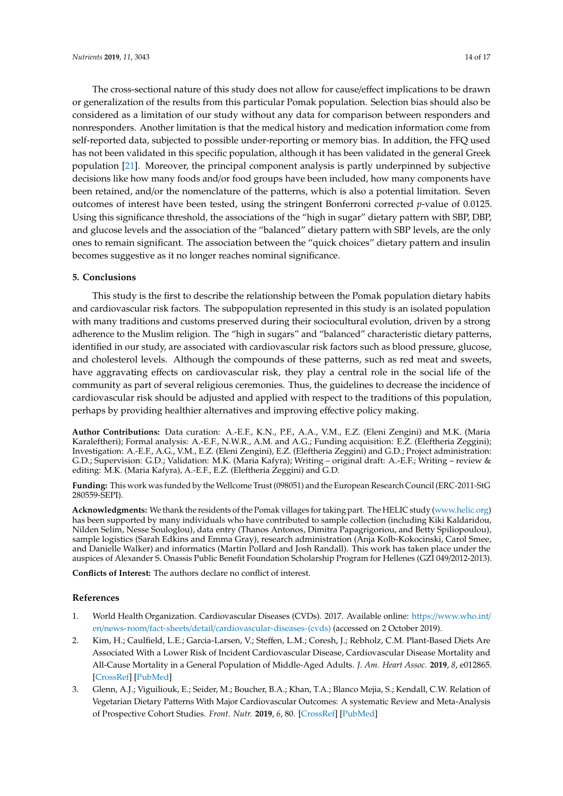The cross-sectional nature of this study does not allow for cause/effect implications to be drawn or generalization of the results from this particular Pomak population. Selection bias should also be considered as a limitation of our study without any data for comparison between responders and nonresponders. Another limitation is that the medical history and medication information come from self-reported data, subjected to possible under-reporting or memory bias. In addition, the FFQ used has not been validated in this specific population, although it has been validated in the general Greek population [\[21\]](#page-14-17). Moreover, the principal component analysis is partly underpinned by subjective decisions like how many foods and/or food groups have been included, how many components have been retained, and/or the nomenclature of the patterns, which is also a potential limitation. Seven outcomes of interest have been tested, using the stringent Bonferroni corrected *p*-value of 0.0125. Using this significance threshold, the associations of the "high in sugar" dietary pattern with SBP, DBP, and glucose levels and the association of the "balanced" dietary pattern with SBP levels, are the only ones to remain significant. The association between the "quick choices" dietary pattern and insulin becomes suggestive as it no longer reaches nominal significance.

# **5. Conclusions**

This study is the first to describe the relationship between the Pomak population dietary habits and cardiovascular risk factors. The subpopulation represented in this study is an isolated population with many traditions and customs preserved during their sociocultural evolution, driven by a strong adherence to the Muslim religion. The "high in sugars" and "balanced" characteristic dietary patterns, identified in our study, are associated with cardiovascular risk factors such as blood pressure, glucose, and cholesterol levels. Although the compounds of these patterns, such as red meat and sweets, have aggravating effects on cardiovascular risk, they play a central role in the social life of the community as part of several religious ceremonies. Thus, the guidelines to decrease the incidence of cardiovascular risk should be adjusted and applied with respect to the traditions of this population, perhaps by providing healthier alternatives and improving effective policy making.

**Author Contributions:** Data curation: A.-E.F., K.N., P.F., A.A., V.M., E.Z. (Eleni Zengini) and M.K. (Maria Karaleftheri); Formal analysis: A.-E.F., N.W.R., A.M. and A.G.; Funding acquisition: E.Z. (Eleftheria Zeggini); Investigation: A.-E.F., A.G., V.M., E.Z. (Eleni Zengini), E.Z. (Eleftheria Zeggini) and G.D.; Project administration: G.D.; Supervision: G.D.; Validation: M.K. (Maria Kafyra); Writing – original draft: A.-E.F.; Writing – review & editing: M.K. (Maria Kafyra), A.-E.F., E.Z. (Eleftheria Zeggini) and G.D.

**Funding:** This work was funded by the Wellcome Trust (098051) and the European Research Council (ERC-2011-StG 280559-SEPI).

**Acknowledgments:** We thank the residents of the Pomak villages for taking part. The HELIC study [\(www.helic.org\)](www.helic.org) has been supported by many individuals who have contributed to sample collection (including Kiki Kaldaridou, Nilden Selim, Nesse Souloglou), data entry (Thanos Antonos, Dimitra Papagrigoriou, and Betty Spiliopoulou), sample logistics (Sarah Edkins and Emma Gray), research administration (Anja Kolb-Kokocinski, Carol Smee, and Danielle Walker) and informatics (Martin Pollard and Josh Randall). This work has taken place under the auspices of Alexander S. Onassis Public Benefit Foundation Scholarship Program for Hellenes (GZI 049/2012-2013).

**Conflicts of Interest:** The authors declare no conflict of interest.

#### **References**

- <span id="page-13-0"></span>1. World Health Organization. Cardiovascular Diseases (CVDs). 2017. Available online: https://[www.who.int](https://www.who.int/en/news-room/fact-sheets/detail/cardiovascular-diseases-(cvds))/ en/news-room/fact-sheets/detail/[cardiovascular-diseases-\(cvds\)](https://www.who.int/en/news-room/fact-sheets/detail/cardiovascular-diseases-(cvds)) (accessed on 2 October 2019).
- <span id="page-13-1"></span>2. Kim, H.; Caulfield, L.E.; Garcia-Larsen, V.; Steffen, L.M.; Coresh, J.; Rebholz, C.M. Plant-Based Diets Are Associated With a Lower Risk of Incident Cardiovascular Disease, Cardiovascular Disease Mortality and All-Cause Mortality in a General Population of Middle-Aged Adults. *J. Am. Heart Assoc.* **2019**, *8*, e012865. [\[CrossRef\]](http://dx.doi.org/10.1161/JAHA.119.012865) [\[PubMed\]](http://www.ncbi.nlm.nih.gov/pubmed/31387433)
- <span id="page-13-2"></span>3. Glenn, A.J.; Viguiliouk, E.; Seider, M.; Boucher, B.A.; Khan, T.A.; Blanco Mejia, S.; Kendall, C.W. Relation of Vegetarian Dietary Patterns With Major Cardiovascular Outcomes: A systematic Review and Meta-Analysis of Prospective Cohort Studies. *Front. Nutr.* **2019**, *6*, 80. [\[CrossRef\]](http://dx.doi.org/10.3389/fnut.2019.00080) [\[PubMed\]](http://www.ncbi.nlm.nih.gov/pubmed/31263700)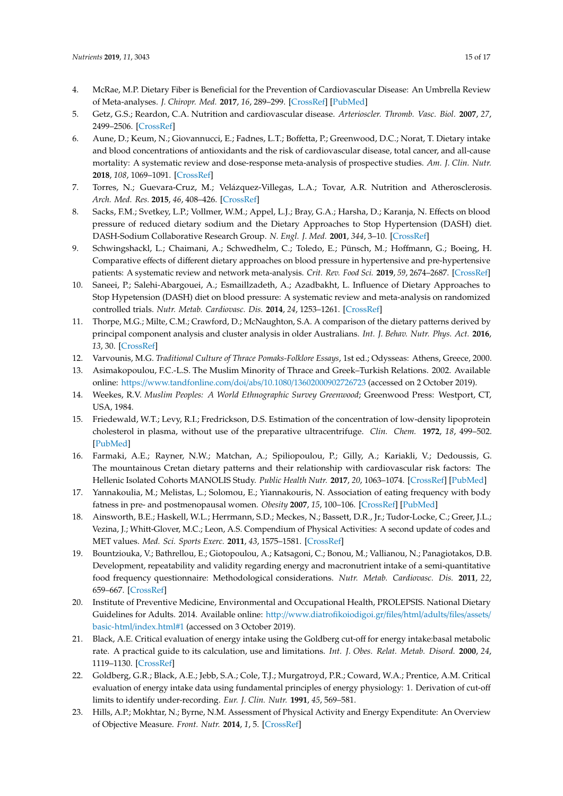- <span id="page-14-0"></span>4. McRae, M.P. Dietary Fiber is Beneficial for the Prevention of Cardiovascular Disease: An Umbrella Review of Meta-analyses. *J. Chiropr. Med.* **2017**, *16*, 289–299. [\[CrossRef\]](http://dx.doi.org/10.1016/j.jcm.2017.05.005) [\[PubMed\]](http://www.ncbi.nlm.nih.gov/pubmed/29276461)
- <span id="page-14-1"></span>5. Getz, G.S.; Reardon, C.A. Nutrition and cardiovascular disease. *Arterioscler. Thromb. Vasc. Biol.* **2007**, *27*, 2499–2506. [\[CrossRef\]](http://dx.doi.org/10.1161/ATVBAHA.107.155853)
- <span id="page-14-2"></span>6. Aune, D.; Keum, N.; Giovannucci, E.; Fadnes, L.T.; Boffetta, P.; Greenwood, D.C.; Norat, T. Dietary intake and blood concentrations of antioxidants and the risk of cardiovascular disease, total cancer, and all-cause mortality: A systematic review and dose-response meta-analysis of prospective studies. *Am. J. Clin. Nutr.* **2018**, *108*, 1069–1091. [\[CrossRef\]](http://dx.doi.org/10.1093/ajcn/nqy097)
- <span id="page-14-3"></span>7. Torres, N.; Guevara-Cruz, M.; Velázquez-Villegas, L.A.; Tovar, A.R. Nutrition and Atherosclerosis. *Arch. Med. Res.* **2015**, *46*, 408–426. [\[CrossRef\]](http://dx.doi.org/10.1016/j.arcmed.2015.05.010)
- <span id="page-14-4"></span>8. Sacks, F.M.; Svetkey, L.P.; Vollmer, W.M.; Appel, L.J.; Bray, G.A.; Harsha, D.; Karanja, N. Effects on blood pressure of reduced dietary sodium and the Dietary Approaches to Stop Hypertension (DASH) diet. DASH-Sodium Collaborative Research Group. *N. Engl. J. Med.* **2001**, *344*, 3–10. [\[CrossRef\]](http://dx.doi.org/10.1056/NEJM200101043440101)
- <span id="page-14-5"></span>9. Schwingshackl, L.; Chaimani, A.; Schwedhelm, C.; Toledo, E.; Pünsch, M.; Hoffmann, G.; Boeing, H. Comparative effects of different dietary approaches on blood pressure in hypertensive and pre-hypertensive patients: A systematic review and network meta-analysis. *Crit. Rev. Food Sci.* **2019**, *59*, 2674–2687. [\[CrossRef\]](http://dx.doi.org/10.1080/10408398.2018.1463967)
- <span id="page-14-6"></span>10. Saneei, P.; Salehi-Abargouei, A.; Esmaillzadeth, A.; Azadbakht, L. Influence of Dietary Approaches to Stop Hypetension (DASH) diet on blood pressure: A systematic review and meta-analysis on randomized controlled trials. *Nutr. Metab. Cardiovasc. Dis.* **2014**, *24*, 1253–1261. [\[CrossRef\]](http://dx.doi.org/10.1016/j.numecd.2014.06.008)
- <span id="page-14-7"></span>11. Thorpe, M.G.; Milte, C.M.; Crawford, D.; McNaughton, S.A. A comparison of the dietary patterns derived by principal component analysis and cluster analysis in older Australians. *Int. J. Behav. Nutr. Phys. Act.* **2016**, *13*, 30. [\[CrossRef\]](http://dx.doi.org/10.1186/s12966-016-0353-2)
- <span id="page-14-8"></span>12. Varvounis, M.G. *Traditional Culture of Thrace Pomaks-Folklore Essays*, 1st ed.; Odysseas: Athens, Greece, 2000.
- <span id="page-14-9"></span>13. Asimakopoulou, F.C.-L.S. The Muslim Minority of Thrace and Greek–Turkish Relations. 2002. Available online: https://[www.tandfonline.com](https://www.tandfonline.com/doi/abs/10.1080/13602000902726723)/doi/abs/10.1080/13602000902726723 (accessed on 2 October 2019).
- <span id="page-14-10"></span>14. Weekes, R.V. *Muslim Peoples: A World Ethnographic Survey Greenwood*; Greenwood Press: Westport, CT, USA, 1984.
- <span id="page-14-11"></span>15. Friedewald, W.T.; Levy, R.I.; Fredrickson, D.S. Estimation of the concentration of low-density lipoprotein cholesterol in plasma, without use of the preparative ultracentrifuge. *Clin. Chem.* **1972**, *18*, 499–502. [\[PubMed\]](http://www.ncbi.nlm.nih.gov/pubmed/4337382)
- <span id="page-14-12"></span>16. Farmaki, A.E.; Rayner, N.W.; Matchan, A.; Spiliopoulou, P.; Gilly, A.; Kariakli, V.; Dedoussis, G. The mountainous Cretan dietary patterns and their relationship with cardiovascular risk factors: The Hellenic Isolated Cohorts MANOLIS Study. *Public Health Nutr.* **2017**, *20*, 1063–1074. [\[CrossRef\]](http://dx.doi.org/10.1017/S1368980016003207) [\[PubMed\]](http://www.ncbi.nlm.nih.gov/pubmed/27989266)
- <span id="page-14-13"></span>17. Yannakoulia, M.; Melistas, L.; Solomou, E.; Yiannakouris, N. Association of eating frequency with body fatness in pre- and postmenopausal women. *Obesity* **2007**, *15*, 100–106. [\[CrossRef\]](http://dx.doi.org/10.1038/oby.2007.503) [\[PubMed\]](http://www.ncbi.nlm.nih.gov/pubmed/17228037)
- <span id="page-14-14"></span>18. Ainsworth, B.E.; Haskell, W.L.; Herrmann, S.D.; Meckes, N.; Bassett, D.R., Jr.; Tudor-Locke, C.; Greer, J.L.; Vezina, J.; Whitt-Glover, M.C.; Leon, A.S. Compendium of Physical Activities: A second update of codes and MET values. *Med. Sci. Sports Exerc.* **2011**, *43*, 1575–1581. [\[CrossRef\]](http://dx.doi.org/10.1249/MSS.0b013e31821ece12)
- <span id="page-14-15"></span>19. Bountziouka, V.; Bathrellou, E.; Giotopoulou, A.; Katsagoni, C.; Bonou, M.; Vallianou, N.; Panagiotakos, D.B. Development, repeatability and validity regarding energy and macronutrient intake of a semi-quantitative food frequency questionnaire: Methodological considerations. *Nutr. Metab. Cardiovasc. Dis.* **2011**, *22*, 659–667. [\[CrossRef\]](http://dx.doi.org/10.1016/j.numecd.2010.10.015)
- <span id="page-14-16"></span>20. Institute of Preventive Medicine, Environmental and Occupational Health, PROLEPSIS. National Dietary Guidelines for Adults. 2014. Available online: http://[www.diatrofikoiodigoi.gr](http://www.diatrofikoiodigoi.gr/files/html/adults/files/assets/basic-html/index.html#1)/files/html/adults/files/assets/ basic-html/[index.html#1](http://www.diatrofikoiodigoi.gr/files/html/adults/files/assets/basic-html/index.html#1) (accessed on 3 October 2019).
- <span id="page-14-17"></span>21. Black, A.E. Critical evaluation of energy intake using the Goldberg cut-off for energy intake:basal metabolic rate. A practical guide to its calculation, use and limitations. *Int. J. Obes. Relat. Metab. Disord.* **2000**, *24*, 1119–1130. [\[CrossRef\]](http://dx.doi.org/10.1038/sj.ijo.0801376)
- <span id="page-14-18"></span>22. Goldberg, G.R.; Black, A.E.; Jebb, S.A.; Cole, T.J.; Murgatroyd, P.R.; Coward, W.A.; Prentice, A.M. Critical evaluation of energy intake data using fundamental principles of energy physiology: 1. Derivation of cut-off limits to identify under-recording. *Eur. J. Clin. Nutr.* **1991**, *45*, 569–581.
- <span id="page-14-19"></span>23. Hills, A.P.; Mokhtar, N.; Byrne, N.M. Assessment of Physical Activity and Energy Expenditute: An Overview of Objective Measure. *Front. Nutr.* **2014**, *1*, 5. [\[CrossRef\]](http://dx.doi.org/10.3389/fnut.2014.00005)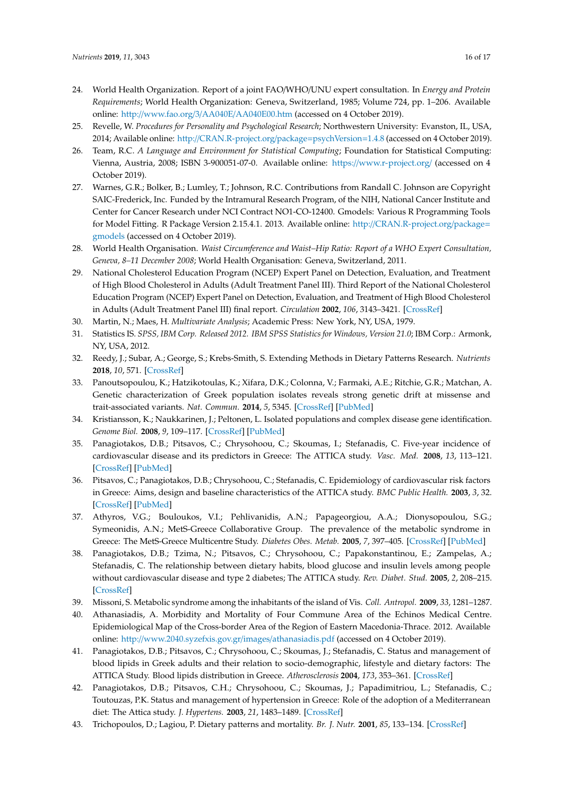- <span id="page-15-0"></span>24. World Health Organization. Report of a joint FAO/WHO/UNU expert consultation. In *Energy and Protein Requirements*; World Health Organization: Geneva, Switzerland, 1985; Volume 724, pp. 1–206. Available online: http://www.fao.org/3/AA040E/[AA040E00.htm](http://www.fao.org/3/AA040E/AA040E00.htm) (accessed on 4 October 2019).
- <span id="page-15-1"></span>25. Revelle, W. *Procedures for Personality and Psychological Research*; Northwestern University: Evanston, IL, USA, 2014; Available online: http://[CRAN.R-project.org](http://CRAN.R-project.org/package=psych Version=1.4.8)/package=psychVersion=1.4.8 (accessed on 4 October 2019).
- 26. Team, R.C. *A Language and Environment for Statistical Computing*; Foundation for Statistical Computing: Vienna, Austria, 2008; ISBN 3-900051-07-0. Available online: https://[www.r-project.org](https://www.r-project.org/)/ (accessed on 4 October 2019).
- <span id="page-15-2"></span>27. Warnes, G.R.; Bolker, B.; Lumley, T.; Johnson, R.C. Contributions from Randall C. Johnson are Copyright SAIC-Frederick, Inc. Funded by the Intramural Research Program, of the NIH, National Cancer Institute and Center for Cancer Research under NCI Contract NO1-CO-12400. Gmodels: Various R Programming Tools for Model Fitting. R Package Version 2.15.4.1. 2013. Available online: http://[CRAN.R-project.org](http://CRAN.R-project.org/package=gmodels)/package= [gmodels](http://CRAN.R-project.org/package=gmodels) (accessed on 4 October 2019).
- <span id="page-15-3"></span>28. World Health Organisation. *Waist Circumference and Waist–Hip Ratio: Report of a WHO Expert Consultation, Geneva, 8–11 December 2008*; World Health Organisation: Geneva, Switzerland, 2011.
- <span id="page-15-4"></span>29. National Cholesterol Education Program (NCEP) Expert Panel on Detection, Evaluation, and Treatment of High Blood Cholesterol in Adults (Adult Treatment Panel III). Third Report of the National Cholesterol Education Program (NCEP) Expert Panel on Detection, Evaluation, and Treatment of High Blood Cholesterol in Adults (Adult Treatment Panel III) final report. *Circulation* **2002**, *106*, 3143–3421. [\[CrossRef\]](http://dx.doi.org/10.1161/circ.106.25.3143)
- <span id="page-15-5"></span>30. Martin, N.; Maes, H. *Multivariate Analysis*; Academic Press: New York, NY, USA, 1979.
- <span id="page-15-6"></span>31. Statistics IS. *SPSS, IBM Corp. Released 2012. IBM SPSS Statistics for Windows, Version 21.0*; IBM Corp.: Armonk, NY, USA, 2012.
- <span id="page-15-7"></span>32. Reedy, J.; Subar, A.; George, S.; Krebs-Smith, S. Extending Methods in Dietary Patterns Research. *Nutrients* **2018**, *10*, 571. [\[CrossRef\]](http://dx.doi.org/10.3390/nu10050571)
- <span id="page-15-8"></span>33. Panoutsopoulou, K.; Hatzikotoulas, K.; Xifara, D.K.; Colonna, V.; Farmaki, A.E.; Ritchie, G.R.; Matchan, A. Genetic characterization of Greek population isolates reveals strong genetic drift at missense and trait-associated variants. *Nat. Commun.* **2014**, *5*, 5345. [\[CrossRef\]](http://dx.doi.org/10.1038/ncomms6345) [\[PubMed\]](http://www.ncbi.nlm.nih.gov/pubmed/25373335)
- <span id="page-15-9"></span>34. Kristiansson, K.; Naukkarinen, J.; Peltonen, L. Isolated populations and complex disease gene identification. *Genome Biol.* **2008**, *9*, 109–117. [\[CrossRef\]](http://dx.doi.org/10.1186/gb-2008-9-8-109) [\[PubMed\]](http://www.ncbi.nlm.nih.gov/pubmed/18771588)
- <span id="page-15-10"></span>35. Panagiotakos, D.B.; Pitsavos, C.; Chrysohoou, C.; Skoumas, I.; Stefanadis, C. Five-year incidence of cardiovascular disease and its predictors in Greece: The ATTICA study. *Vasc. Med.* **2008**, *13*, 113–121. [\[CrossRef\]](http://dx.doi.org/10.1177/1358863x07087731) [\[PubMed\]](http://www.ncbi.nlm.nih.gov/pubmed/18593800)
- <span id="page-15-11"></span>36. Pitsavos, C.; Panagiotakos, D.B.; Chrysohoou, C.; Stefanadis, C. Epidemiology of cardiovascular risk factors in Greece: Aims, design and baseline characteristics of the ATTICA study. *BMC Public Health.* **2003**, *3*, 32. [\[CrossRef\]](http://dx.doi.org/10.1186/1471-2458-3-32) [\[PubMed\]](http://www.ncbi.nlm.nih.gov/pubmed/14567760)
- <span id="page-15-12"></span>37. Athyros, V.G.; Bouloukos, V.I.; Pehlivanidis, A.N.; Papageorgiou, A.A.; Dionysopoulou, S.G.; Symeonidis, A.N.; MetS-Greece Collaborative Group. The prevalence of the metabolic syndrome in Greece: The MetS-Greece Multicentre Study. *Diabetes Obes. Metab.* **2005**, *7*, 397–405. [\[CrossRef\]](http://dx.doi.org/10.1111/j.1463-1326.2004.00409.x) [\[PubMed\]](http://www.ncbi.nlm.nih.gov/pubmed/15955126)
- <span id="page-15-13"></span>38. Panagiotakos, D.B.; Tzima, N.; Pitsavos, C.; Chrysohoou, C.; Papakonstantinou, E.; Zampelas, A.; Stefanadis, C. The relationship between dietary habits, blood glucose and insulin levels among people without cardiovascular disease and type 2 diabetes; The ATTICA study. *Rev. Diabet. Stud.* **2005**, *2*, 208–215. [\[CrossRef\]](http://dx.doi.org/10.1900/RDS.2005.2.208)
- <span id="page-15-14"></span>39. Missoni, S. Metabolic syndrome among the inhabitants of the island of Vis. *Coll. Antropol.* **2009**, *33*, 1281–1287.
- <span id="page-15-15"></span>40. Athanasiadis, A. Morbidity and Mortality of Four Commune Area of the Echinos Medical Centre. Epidemiological Map of the Cross-border Area of the Region of Eastern Macedonia-Thrace. 2012. Available online: http://[www.2040.syzefxis.gov.gr](http://www.2040.syzefxis.gov.gr/images/athanasiadis.pdf)/images/athanasiadis.pdf (accessed on 4 October 2019).
- <span id="page-15-16"></span>41. Panagiotakos, D.B.; Pitsavos, C.; Chrysohoou, C.; Skoumas, J.; Stefanadis, C. Status and management of blood lipids in Greek adults and their relation to socio-demographic, lifestyle and dietary factors: The ATTICA Study. Blood lipids distribution in Greece. *Atherosclerosis* **2004**, *173*, 353–361. [\[CrossRef\]](http://dx.doi.org/10.1016/j.atherosclerosis.2003.12.031)
- <span id="page-15-17"></span>42. Panagiotakos, D.B.; Pitsavos, C.H.; Chrysohoou, C.; Skoumas, J.; Papadimitriou, L.; Stefanadis, C.; Toutouzas, P.K. Status and management of hypertension in Greece: Role of the adoption of a Mediterranean diet: The Attica study. *J. Hypertens.* **2003**, *21*, 1483–1489. [\[CrossRef\]](http://dx.doi.org/10.1097/00004872-200308000-00011)
- <span id="page-15-18"></span>43. Trichopoulos, D.; Lagiou, P. Dietary patterns and mortality. *Br. J. Nutr.* **2001**, *85*, 133–134. [\[CrossRef\]](http://dx.doi.org/10.1079/BJN2000282)